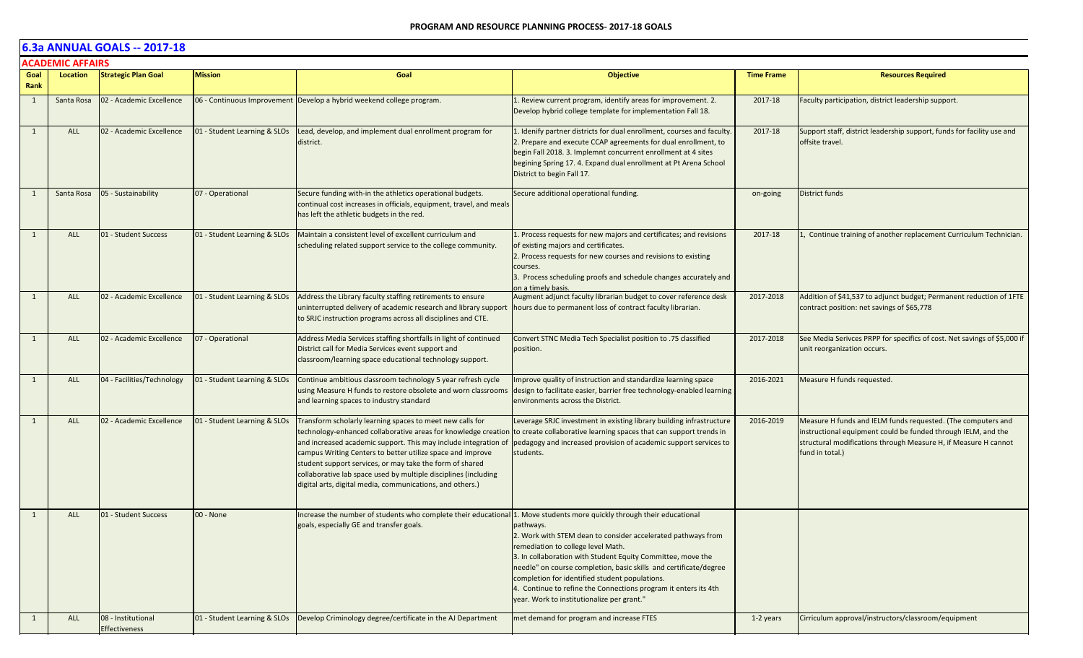#### **6.3a ANNUAL GOALS -- 2017-18 ACADEMIC AFFAIRS**

|              | ALADEMIL AFFAIKS |                                     |                              |                                                                                                                                                                                                                                                                                                                                                                                                                                                          |                                                                                                                                                                                                                                                                                                                                                                                                                                                                                   |                   |                                                                                                                                                                                                                     |
|--------------|------------------|-------------------------------------|------------------------------|----------------------------------------------------------------------------------------------------------------------------------------------------------------------------------------------------------------------------------------------------------------------------------------------------------------------------------------------------------------------------------------------------------------------------------------------------------|-----------------------------------------------------------------------------------------------------------------------------------------------------------------------------------------------------------------------------------------------------------------------------------------------------------------------------------------------------------------------------------------------------------------------------------------------------------------------------------|-------------------|---------------------------------------------------------------------------------------------------------------------------------------------------------------------------------------------------------------------|
| Goal<br>Rank | Location         | <b>Strategic Plan Goal</b>          | <b>Mission</b>               | Goal                                                                                                                                                                                                                                                                                                                                                                                                                                                     | <b>Objective</b>                                                                                                                                                                                                                                                                                                                                                                                                                                                                  | <b>Time Frame</b> | <b>Resources Required</b>                                                                                                                                                                                           |
| 1            | Santa Rosa       | 02 - Academic Excellence            |                              | 06 - Continuous Improvement Develop a hybrid weekend college program.                                                                                                                                                                                                                                                                                                                                                                                    | 1. Review current program, identify areas for improvement. 2.<br>Develop hybrid college template for implementation Fall 18.                                                                                                                                                                                                                                                                                                                                                      | 2017-18           | Faculty participation, district leadership support.                                                                                                                                                                 |
| 1            | <b>ALL</b>       | 02 - Academic Excellence            | 01 - Student Learning & SLOs | Lead, develop, and implement dual enrollment program for<br>district.                                                                                                                                                                                                                                                                                                                                                                                    | 1. Idenify partner districts for dual enrollment, courses and faculty<br>2. Prepare and execute CCAP agreements for dual enrollment, to<br>begin Fall 2018. 3. Implemnt concurrent enrollment at 4 sites<br>begining Spring 17. 4. Expand dual enrollment at Pt Arena School<br>District to begin Fall 17.                                                                                                                                                                        | 2017-18           | Support staff, district leadership support, funds for facility use and<br>offsite travel.                                                                                                                           |
|              | Santa Rosa       | 05 - Sustainability                 | 07 - Operational             | Secure funding with-in the athletics operational budgets.<br>continual cost increases in officials, equipment, travel, and meals<br>has left the athletic budgets in the red.                                                                                                                                                                                                                                                                            | Secure additional operational funding.                                                                                                                                                                                                                                                                                                                                                                                                                                            | on-going          | District funds                                                                                                                                                                                                      |
| 1            | <b>ALL</b>       | 01 - Student Success                | 01 - Student Learning & SLOs | Maintain a consistent level of excellent curriculum and<br>scheduling related support service to the college community.                                                                                                                                                                                                                                                                                                                                  | 1. Process requests for new majors and certificates; and revisions<br>of existing majors and certificates.<br>2. Process requests for new courses and revisions to existing<br>courses.<br>3. Process scheduling proofs and schedule changes accurately and<br>on a timely basis.                                                                                                                                                                                                 | 2017-18           | 1, Continue training of another replacement Curriculum Technician.                                                                                                                                                  |
| 1            | <b>ALL</b>       | 02 - Academic Excellence            | 01 - Student Learning & SLOs | Address the Library faculty staffing retirements to ensure<br>uninterrupted delivery of academic research and library support<br>to SRJC instruction programs across all disciplines and CTE.                                                                                                                                                                                                                                                            | Augment adjunct faculty librarian budget to cover reference desk<br>hours due to permanent loss of contract faculty librarian.                                                                                                                                                                                                                                                                                                                                                    | 2017-2018         | Addition of \$41,537 to adjunct budget; Permanent reduction of 1FTE<br>contract position: net savings of \$65,778                                                                                                   |
| 1            | <b>ALL</b>       | 02 - Academic Excellence            | 07 - Operational             | Address Media Services staffing shortfalls in light of continued<br>District call for Media Services event support and<br>classroom/learning space educational technology support.                                                                                                                                                                                                                                                                       | Convert STNC Media Tech Specialist position to .75 classified<br>position.                                                                                                                                                                                                                                                                                                                                                                                                        | 2017-2018         | See Media Serivces PRPP for specifics of cost. Net savings of \$5,000 if<br>unit reorganization occurs.                                                                                                             |
| 1            | ALL              | 04 - Facilities/Technology          | 01 - Student Learning & SLOs | Continue ambitious classroom technology 5 year refresh cycle<br>using Measure H funds to restore obsolete and worn classrooms<br>and learning spaces to industry standard                                                                                                                                                                                                                                                                                | Improve quality of instruction and standardize learning space<br>design to facilitate easier, barrier free technology-enabled learning<br>environments across the District.                                                                                                                                                                                                                                                                                                       | 2016-2021         | Measure H funds requested.                                                                                                                                                                                          |
| 1            | <b>ALL</b>       | 02 - Academic Excellence            | 01 - Student Learning & SLOs | Transform scholarly learning spaces to meet new calls for<br>technology-enhanced collaborative areas for knowledge creatior<br>and increased academic support. This may include integration of<br>campus Writing Centers to better utilize space and improve<br>student support services, or may take the form of shared<br>collaborative lab space used by multiple disciplines (including<br>digital arts, digital media, communications, and others.) | Leverage SRJC investment in existing library building infrastructure<br>to create collaborative learning spaces that can support trends in<br>pedagogy and increased provision of academic support services to<br>students.                                                                                                                                                                                                                                                       | 2016-2019         | Measure H funds and IELM funds requested. (The computers and<br>instructional equipment could be funded through IELM, and the<br>structural modifications through Measure H, if Measure H cannot<br>fund in total.) |
| 1            | <b>ALL</b>       | 01 - Student Success                | 00 - None                    | Increase the number of students who complete their educational<br>goals, especially GE and transfer goals.                                                                                                                                                                                                                                                                                                                                               | 1. Move students more quickly through their educational<br>pathways.<br>2. Work with STEM dean to consider accelerated pathways from<br>remediation to college level Math.<br>3. In collaboration with Student Equity Committee, move the<br>needle" on course completion, basic skills and certificate/degree<br>completion for identified student populations.<br>4. Continue to refine the Connections program it enters its 4th<br>year. Work to institutionalize per grant." |                   |                                                                                                                                                                                                                     |
| 1            | <b>ALL</b>       | 08 - Institutional<br>Effectiveness | 01 - Student Learning & SLOs | Develop Criminology degree/certificate in the AJ Department                                                                                                                                                                                                                                                                                                                                                                                              | met demand for program and increase FTES                                                                                                                                                                                                                                                                                                                                                                                                                                          | 1-2 years         | Cirriculum approval/instructors/classroom/equipment                                                                                                                                                                 |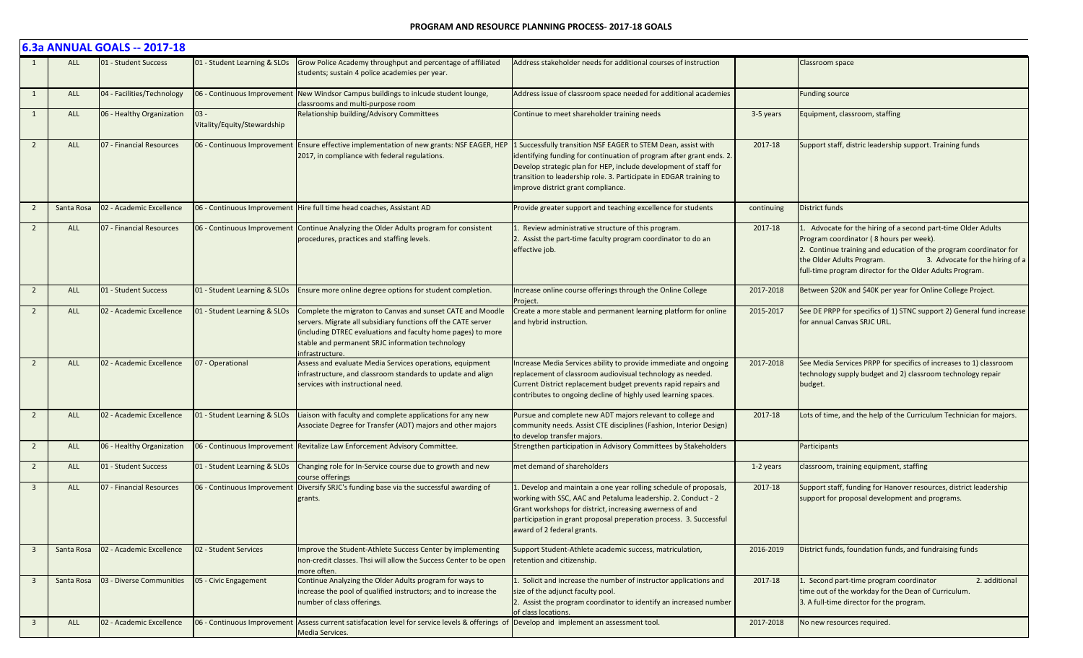|                         |            | 6.3a ANNUAL GOALS -- 2017-18 |                                       |                                                                                                                                                                                                                                                                    |                                                                                                                                                                                                                                                                                                                       |            |                                                                                                                                                                                                                                                                                                        |
|-------------------------|------------|------------------------------|---------------------------------------|--------------------------------------------------------------------------------------------------------------------------------------------------------------------------------------------------------------------------------------------------------------------|-----------------------------------------------------------------------------------------------------------------------------------------------------------------------------------------------------------------------------------------------------------------------------------------------------------------------|------------|--------------------------------------------------------------------------------------------------------------------------------------------------------------------------------------------------------------------------------------------------------------------------------------------------------|
|                         | <b>ALL</b> | 01 - Student Success         | 01 - Student Learning & SLOs          | Grow Police Academy throughput and percentage of affiliated<br>students; sustain 4 police academies per year.                                                                                                                                                      | Address stakeholder needs for additional courses of instruction                                                                                                                                                                                                                                                       |            | Classroom space                                                                                                                                                                                                                                                                                        |
| $\mathbf{1}$            | <b>ALL</b> | 04 - Facilities/Technology   | 06 - Continuous Improvement           | New Windsor Campus buildings to inlcude student lounge,<br>classrooms and multi-purpose room                                                                                                                                                                       | Address issue of classroom space needed for additional academies                                                                                                                                                                                                                                                      |            | <b>Funding source</b>                                                                                                                                                                                                                                                                                  |
| 1                       | ALL        | 06 - Healthy Organization    | $03 -$<br>Vitality/Equity/Stewardship | Relationship building/Advisory Committees                                                                                                                                                                                                                          | Continue to meet shareholder training needs                                                                                                                                                                                                                                                                           | 3-5 years  | Equipment, classroom, staffing                                                                                                                                                                                                                                                                         |
| $\overline{2}$          | <b>ALL</b> | 07 - Financial Resources     | 06 - Continuous Improvement           | Ensure effective implementation of new grants: NSF EAGER, HEP<br>2017, in compliance with federal regulations.                                                                                                                                                     | 1 Successfully transition NSF EAGER to STEM Dean, assist with<br>identifying funding for continuation of program after grant ends. 2.<br>Develop strategic plan for HEP, include development of staff for<br>transition to leadership role. 3. Participate in EDGAR training to<br>improve district grant compliance. | 2017-18    | Support staff, distric leadership support. Training funds                                                                                                                                                                                                                                              |
| $\overline{2}$          | Santa Rosa | 02 - Academic Excellence     | 06 - Continuous Improvement           | Hire full time head coaches, Assistant AD                                                                                                                                                                                                                          | Provide greater support and teaching excellence for students                                                                                                                                                                                                                                                          | continuing | <b>District funds</b>                                                                                                                                                                                                                                                                                  |
| $\overline{2}$          | ALL        | 07 - Financial Resources     | 06 - Continuous Improvement           | Continue Analyzing the Older Adults program for consistent<br>procedures, practices and staffing levels.                                                                                                                                                           | . Review administrative structure of this program.<br>2. Assist the part-time faculty program coordinator to do an<br>effective job.                                                                                                                                                                                  | 2017-18    | Advocate for the hiring of a second part-time Older Adults<br>Program coordinator (8 hours per week).<br>2. Continue training and education of the program coordinator for<br>3. Advocate for the hiring of a<br>the Older Adults Program.<br>full-time program director for the Older Adults Program. |
| $\overline{2}$          | <b>ALL</b> | 01 - Student Success         | 01 - Student Learning & SLOs          | Ensure more online degree options for student completion.                                                                                                                                                                                                          | Increase online course offerings through the Online College<br>Project.                                                                                                                                                                                                                                               | 2017-2018  | Between \$20K and \$40K per year for Online College Project.                                                                                                                                                                                                                                           |
| $\overline{2}$          | ALL        | 02 - Academic Excellence     | 01 - Student Learning & SLOs          | Complete the migraton to Canvas and sunset CATE and Moodle<br>servers. Migrate all subsidiary functions off the CATE server<br>(including DTREC evaluations and faculty home pages) to more<br>stable and permanent SRJC information technology<br>infrastructure. | Create a more stable and permanent learning platform for online<br>and hybrid instruction.                                                                                                                                                                                                                            | 2015-2017  | See DE PRPP for specifics of 1) STNC support 2) General fund increase<br>for annual Canvas SRJC URL.                                                                                                                                                                                                   |
| $\overline{2}$          | <b>ALL</b> | 02 - Academic Excellence     | 07 - Operational                      | Assess and evaluate Media Services operations, equipment<br>infrastructure, and classroom standards to update and align<br>services with instructional need.                                                                                                       | ncrease Media Services ability to provide immediate and ongoing<br>replacement of classroom audiovisual technology as needed.<br>Current District replacement budget prevents rapid repairs and<br>contributes to ongoing decline of highly used learning spaces.                                                     | 2017-2018  | See Media Services PRPP for specifics of increases to 1) classroom<br>technology supply budget and 2) classroom technology repair<br>budget.                                                                                                                                                           |
| 2                       | <b>ALL</b> | 02 - Academic Excellence     | 01 - Student Learning & SLOs          | Liaison with faculty and complete applications for any new<br>Associate Degree for Transfer (ADT) majors and other majors                                                                                                                                          | Pursue and complete new ADT majors relevant to college and<br>community needs. Assist CTE disciplines (Fashion, Interior Design)<br>to develop transfer majors.                                                                                                                                                       | 2017-18    | Lots of time, and the help of the Curriculum Technician for majors.                                                                                                                                                                                                                                    |
| $\overline{2}$          | ALL        | 06 - Healthy Organization    | 06 - Continuous Improvement           | Revitalize Law Enforcement Advisory Committee.                                                                                                                                                                                                                     | Strengthen participation in Advisory Committees by Stakeholders                                                                                                                                                                                                                                                       |            | Participants                                                                                                                                                                                                                                                                                           |
| $\overline{2}$          | ALL        | 01 - Student Success         | 01 - Student Learning & SLOs          | Changing role for In-Service course due to growth and new<br>course offerings                                                                                                                                                                                      | met demand of shareholders                                                                                                                                                                                                                                                                                            | 1-2 years  | classroom, training equipment, staffing                                                                                                                                                                                                                                                                |
| $\overline{\mathbf{3}}$ | <b>ALL</b> | 07 - Financial Resources     | 06 - Continuous Improvement           | Diversify SRJC's funding base via the successful awarding of<br>grants.                                                                                                                                                                                            | Develop and maintain a one year rolling schedule of proposals,<br>working with SSC, AAC and Petaluma leadership. 2. Conduct - 2<br>Grant workshops for district, increasing awerness of and<br>participation in grant proposal preperation process. 3. Successful<br>award of 2 federal grants.                       | 2017-18    | Support staff, funding for Hanover resources, district leadership<br>support for proposal development and programs.                                                                                                                                                                                    |
| $\overline{3}$          | Santa Rosa | 02 - Academic Excellence     | 02 - Student Services                 | Improve the Student-Athlete Success Center by implementing<br>non-credit classes. Thsi will allow the Success Center to be open<br>more often.                                                                                                                     | Support Student-Athlete academic success, matriculation,<br>retention and citizenship.                                                                                                                                                                                                                                | 2016-2019  | District funds, foundation funds, and fundraising funds                                                                                                                                                                                                                                                |
| $\overline{\mathbf{3}}$ | Santa Rosa | 03 - Diverse Communities     | 05 - Civic Engagement                 | Continue Analyzing the Older Adults program for ways to<br>increase the pool of qualified instructors; and to increase the<br>number of class offerings.                                                                                                           | 1. Solicit and increase the number of instructor applications and<br>size of the adjunct faculty pool.<br>2. Assist the program coordinator to identify an increased number<br>of class locations.                                                                                                                    | 2017-18    | . Second part-time program coordinator<br>2. additional<br>time out of the workday for the Dean of Curriculum.<br>3. A full-time director for the program.                                                                                                                                             |
| $\overline{3}$          | ALL        | 02 - Academic Excellence     | 06 - Continuous Improvement           | Assess current satisfacation level for service levels & offerings of<br>Media Services.                                                                                                                                                                            | Develop and implement an assessment tool.                                                                                                                                                                                                                                                                             | 2017-2018  | No new resources required.                                                                                                                                                                                                                                                                             |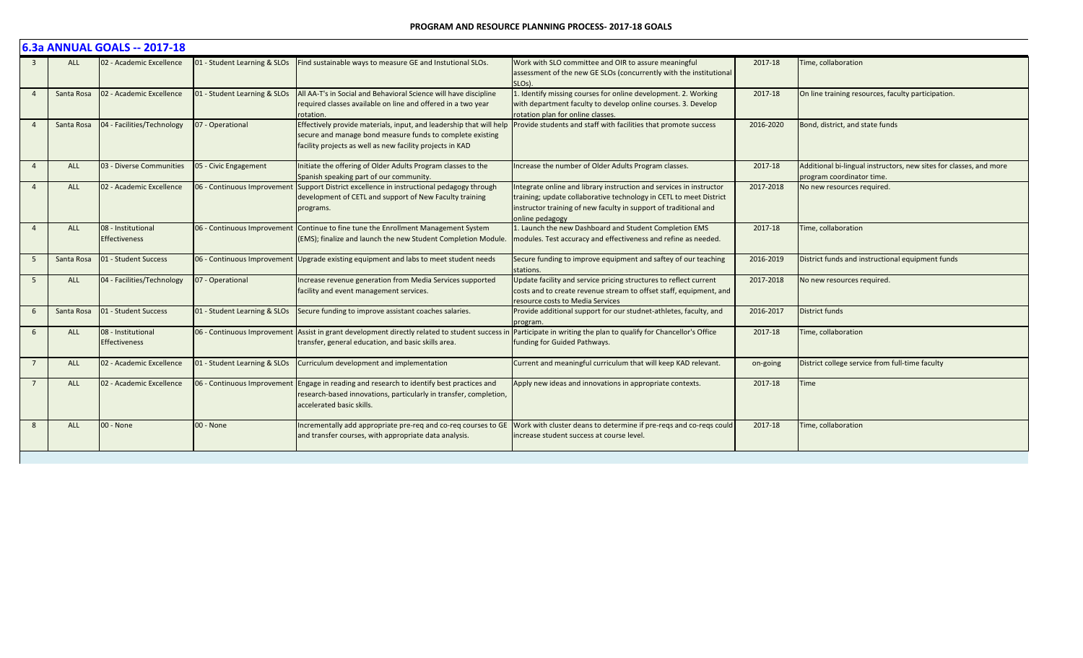#### **PROGRAM AND RESOURCE PLANNING PROCESS- 2017-18 GOALS**

|                 | 6.3a ANNUAL GOALS -- 2017-18 |                                            |                              |                                                                                                                                                                                               |                                                                                                                                                                                                                                  |           |                                                                                                 |  |  |  |
|-----------------|------------------------------|--------------------------------------------|------------------------------|-----------------------------------------------------------------------------------------------------------------------------------------------------------------------------------------------|----------------------------------------------------------------------------------------------------------------------------------------------------------------------------------------------------------------------------------|-----------|-------------------------------------------------------------------------------------------------|--|--|--|
|                 | <b>ALL</b>                   | 02 - Academic Excellence                   | 01 - Student Learning & SLOs | Find sustainable ways to measure GE and Instutional SLOs.                                                                                                                                     | Work with SLO committee and OIR to assure meaningful<br>assessment of the new GE SLOs (concurrently with the institutional<br>SLO <sub>s</sub> ).                                                                                | 2017-18   | Time, collaboration                                                                             |  |  |  |
| $\overline{4}$  | Santa Rosa                   | 02 - Academic Excellence                   | 01 - Student Learning & SLOs | All AA-T's in Social and Behavioral Science will have discipline<br>required classes available on line and offered in a two year<br>rotation.                                                 | 1. Identify missing courses for online development. 2. Working<br>with department faculty to develop online courses. 3. Develop<br>rotation plan for online classes.                                                             | 2017-18   | On line training resources, faculty participation.                                              |  |  |  |
| $\overline{4}$  | Santa Rosa                   | 04 - Facilities/Technology                 | 07 - Operational             | Effectively provide materials, input, and leadership that will help<br>secure and manage bond measure funds to complete existing<br>facility projects as well as new facility projects in KAD | Provide students and staff with facilities that promote success                                                                                                                                                                  | 2016-2020 | Bond, district, and state funds                                                                 |  |  |  |
| $\overline{4}$  | <b>ALL</b>                   | 03 - Diverse Communities                   | 05 - Civic Engagement        | Initiate the offering of Older Adults Program classes to the<br>Spanish speaking part of our community.                                                                                       | Increase the number of Older Adults Program classes.                                                                                                                                                                             | 2017-18   | Additional bi-lingual instructors, new sites for classes, and more<br>program coordinator time. |  |  |  |
|                 | <b>ALL</b>                   | 02 - Academic Excellence                   | 06 - Continuous Improvement  | Support District excellence in instructional pedagogy through<br>development of CETL and support of New Faculty training<br>programs.                                                         | Integrate online and library instruction and services in instructor<br>training; update collaborative technology in CETL to meet District<br>instructor training of new faculty in support of traditional and<br>online pedagogy | 2017-2018 | No new resources required.                                                                      |  |  |  |
| $\overline{4}$  | <b>ALL</b>                   | 08 - Institutional<br><b>Effectiveness</b> | 06 - Continuous Improvement  | Continue to fine tune the Enrollment Management System<br>(EMS); finalize and launch the new Student Completion Module.                                                                       | 1. Launch the new Dashboard and Student Completion EMS<br>modules. Test accuracy and effectiveness and refine as needed.                                                                                                         | 2017-18   | Time, collaboration                                                                             |  |  |  |
| 5               | Santa Rosa                   | 01 - Student Success                       | 06 - Continuous Improvement  | Upgrade existing equipment and labs to meet student needs                                                                                                                                     | Secure funding to improve equipment and saftey of our teaching<br>stations.                                                                                                                                                      | 2016-2019 | District funds and instructional equipment funds                                                |  |  |  |
| 5               | <b>ALL</b>                   | 04 - Facilities/Technology                 | 07 - Operational             | Increase revenue generation from Media Services supported<br>facility and event management services.                                                                                          | Update facility and service pricing structures to reflect current<br>costs and to create revenue stream to offset staff, equipment, and<br>resource costs to Media Services                                                      | 2017-2018 | No new resources required.                                                                      |  |  |  |
| 6               | Santa Rosa                   | 01 - Student Success                       | 01 - Student Learning & SLOs | Secure funding to improve assistant coaches salaries.                                                                                                                                         | Provide additional support for our studnet-athletes, faculty, and<br>program.                                                                                                                                                    | 2016-2017 | District funds                                                                                  |  |  |  |
| 6               | <b>ALL</b>                   | 08 - Institutional<br><b>Effectiveness</b> | 06 - Continuous Improvement  | Assist in grant development directly related to student success in<br>transfer, general education, and basic skills area.                                                                     | Participate in writing the plan to qualify for Chancellor's Office<br>funding for Guided Pathways.                                                                                                                               | 2017-18   | Time, collaboration                                                                             |  |  |  |
|                 | <b>ALL</b>                   | 02 - Academic Excellence                   | 01 - Student Learning & SLOs | Curriculum development and implementation                                                                                                                                                     | Current and meaningful curriculum that will keep KAD relevant.                                                                                                                                                                   | on-going  | District college service from full-time faculty                                                 |  |  |  |
| $7\overline{ }$ | <b>ALL</b>                   | 02 - Academic Excellence                   | 06 - Continuous Improvement  | Engage in reading and research to identify best practices and<br>research-based innovations, particularly in transfer, completion,<br>accelerated basic skills.                               | Apply new ideas and innovations in appropriate contexts.                                                                                                                                                                         | 2017-18   | <b>Time</b>                                                                                     |  |  |  |
| 8               | <b>ALL</b>                   | 00 - None                                  | 00 - None                    | Incrementally add appropriate pre-req and co-req courses to GE<br>and transfer courses, with appropriate data analysis.                                                                       | Work with cluster deans to determine if pre-regs and co-regs could<br>increase student success at course level.                                                                                                                  | 2017-18   | Time, collaboration                                                                             |  |  |  |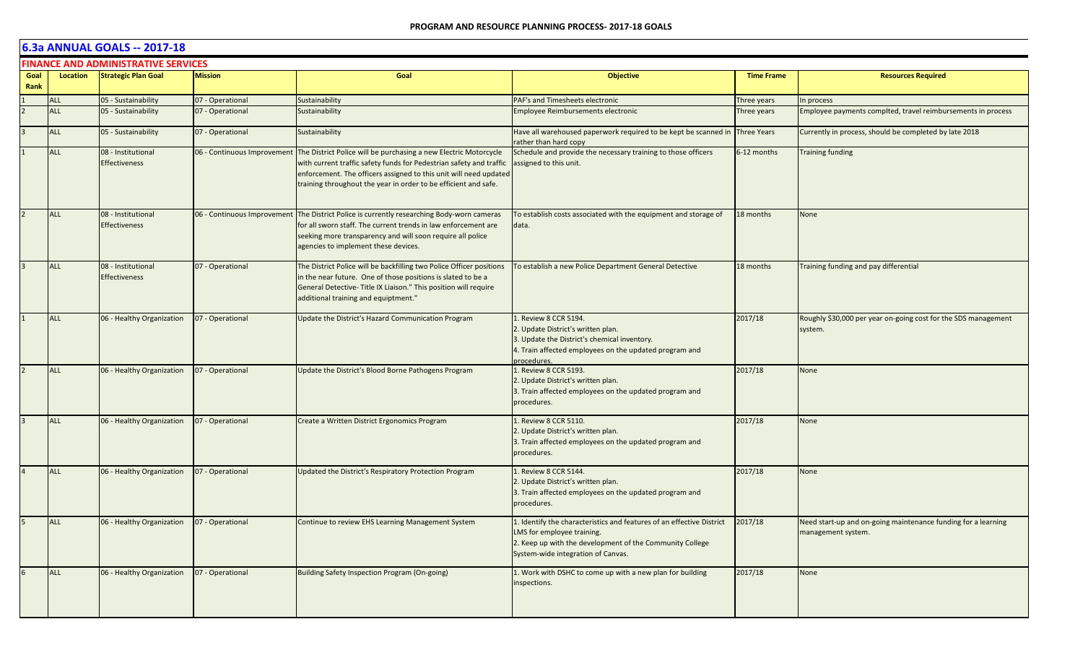|      | <b>FINANCE AND ADMINISTRATIVE SERVICES</b> |                                            |                             |                                                                                                                                                                                                                                                                                 |                                                                                                                                                                                                       |                    |                                                                                     |  |  |  |
|------|--------------------------------------------|--------------------------------------------|-----------------------------|---------------------------------------------------------------------------------------------------------------------------------------------------------------------------------------------------------------------------------------------------------------------------------|-------------------------------------------------------------------------------------------------------------------------------------------------------------------------------------------------------|--------------------|-------------------------------------------------------------------------------------|--|--|--|
| Goal | Location                                   | <b>Strategic Plan Goal</b>                 | <b>Mission</b>              | Goal                                                                                                                                                                                                                                                                            | <b>Objective</b>                                                                                                                                                                                      | <b>Time Frame</b>  | <b>Resources Required</b>                                                           |  |  |  |
| Rank |                                            |                                            |                             |                                                                                                                                                                                                                                                                                 |                                                                                                                                                                                                       |                    |                                                                                     |  |  |  |
|      | <b>ALL</b>                                 | 05 - Sustainability                        | 07 - Operational            | Sustainability                                                                                                                                                                                                                                                                  | PAF's and Timesheets electronic                                                                                                                                                                       | Three years        | In process                                                                          |  |  |  |
|      | <b>ALL</b>                                 | 05 - Sustainability                        | 07 - Operational            | Sustainability                                                                                                                                                                                                                                                                  | Employee Reimbursements electronic                                                                                                                                                                    | Three years        | Employee payments complted, travel reimbursements in process                        |  |  |  |
|      | <b>ALL</b>                                 | 05 - Sustainability                        | 07 - Operational            | Sustainability                                                                                                                                                                                                                                                                  | Have all warehoused paperwork required to be kept be scanned in<br>ather than hard copy                                                                                                               | <b>Three Years</b> | Currently in process, should be completed by late 2018                              |  |  |  |
|      | <b>ALL</b>                                 | 08 - Institutional<br><b>Effectiveness</b> | 06 - Continuous Improvement | The District Police will be purchasing a new Electric Motorcycle<br>with current traffic safety funds for Pedestrian safety and traffic<br>enforcement. The officers assigned to this unit will need updated<br>training throughout the year in order to be efficient and safe. | Schedule and provide the necessary training to those officers<br>assigned to this unit.                                                                                                               | 6-12 months        | <b>Training funding</b>                                                             |  |  |  |
|      | <b>ALL</b>                                 | 08 - Institutional<br><b>Effectiveness</b> |                             | 06 - Continuous Improvement The District Police is currently researching Body-worn cameras<br>for all sworn staff. The current trends in law enforcement are<br>seeking more transparency and will soon require all police<br>agencies to implement these devices.              | To establish costs associated with the equipment and storage of<br>data.                                                                                                                              | 18 months          | None                                                                                |  |  |  |
|      | <b>ALL</b>                                 | 08 - Institutional<br><b>Effectiveness</b> | 07 - Operational            | The District Police will be backfilling two Police Officer positions<br>in the near future. One of those positions is slated to be a<br>General Detective-Title IX Liaison." This position will require<br>additional training and equiptment."                                 | To establish a new Police Department General Detective                                                                                                                                                | 18 months          | Training funding and pay differential                                               |  |  |  |
|      | <b>ALL</b>                                 | 06 - Healthy Organization                  | 07 - Operational            | Update the District's Hazard Communication Program                                                                                                                                                                                                                              | Review 8 CCR 5194.<br>2. Update District's written plan.<br>3. Update the District's chemical inventory.<br>4. Train affected employees on the updated program and<br>procedures.                     | 2017/18            | Roughly \$30,000 per year on-going cost for the SDS management<br>system.           |  |  |  |
|      | <b>ALL</b>                                 | 06 - Healthy Organization                  | 07 - Operational            | Update the District's Blood Borne Pathogens Program                                                                                                                                                                                                                             | 1. Review 8 CCR 5193.<br>2. Update District's written plan.<br>3. Train affected employees on the updated program and<br>procedures.                                                                  | 2017/18            | None                                                                                |  |  |  |
|      | ALL                                        | 06 - Healthy Organization                  | 07 - Operational            | Create a Written District Ergonomics Program                                                                                                                                                                                                                                    | 1. Review 8 CCR 5110.<br>2. Update District's written plan.<br>3. Train affected employees on the updated program and<br>procedures.                                                                  | 2017/18            | <b>None</b>                                                                         |  |  |  |
|      | <b>ALL</b>                                 | 06 - Healthy Organization                  | 07 - Operational            | Updated the District's Respiratory Protection Program                                                                                                                                                                                                                           | 1. Review 8 CCR 5144.<br>2. Update District's written plan.<br>3. Train affected employees on the updated program and<br>procedures.                                                                  | 2017/18            | <b>None</b>                                                                         |  |  |  |
|      | ALL                                        | 06 - Healthy Organization                  | 07 - Operational            | Continue to review EHS Learning Management System                                                                                                                                                                                                                               | 1. Identify the characteristics and features of an effective District<br>LMS for employee training.<br>2. Keep up with the development of the Community College<br>System-wide integration of Canvas. | 2017/18            | Need start-up and on-going maintenance funding for a learning<br>management system. |  |  |  |
|      | <b>ALL</b>                                 | 06 - Healthy Organization                  | 07 - Operational            | Building Safety Inspection Program (On-going)                                                                                                                                                                                                                                   | 1. Work with DSHC to come up with a new plan for building<br>inspections.                                                                                                                             | 2017/18            | None                                                                                |  |  |  |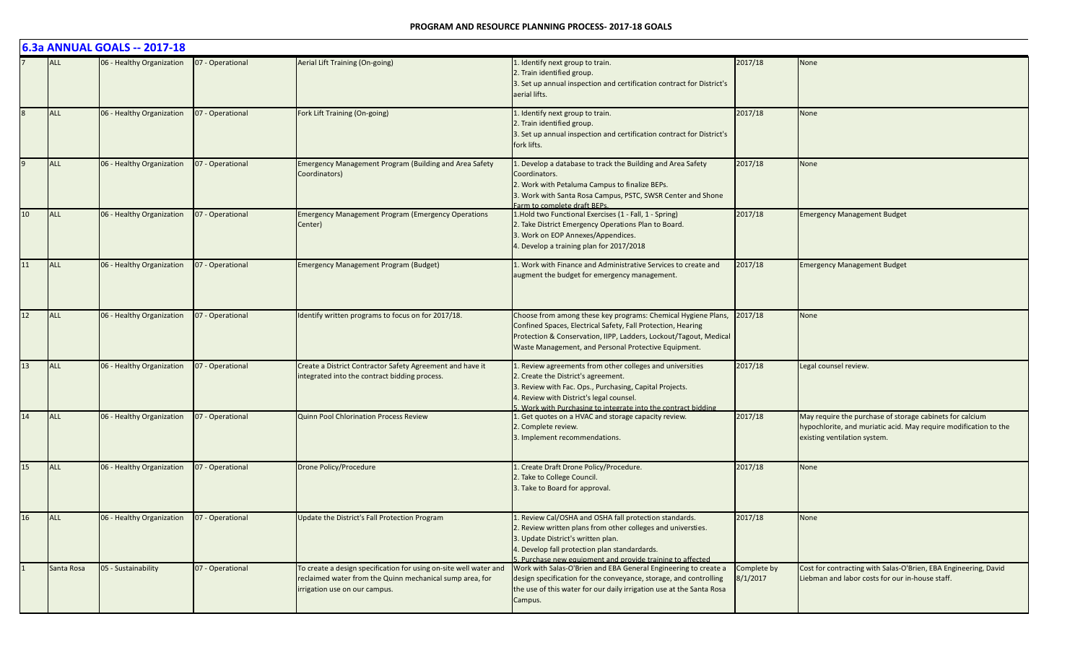|    |            | 6.3a ANNUAL GOALS -- 2017-18 |                  |                                                                                                                                                                |                                                                                                                                                                                                                                                                             |                         |                                                                                                                                                              |
|----|------------|------------------------------|------------------|----------------------------------------------------------------------------------------------------------------------------------------------------------------|-----------------------------------------------------------------------------------------------------------------------------------------------------------------------------------------------------------------------------------------------------------------------------|-------------------------|--------------------------------------------------------------------------------------------------------------------------------------------------------------|
|    | <b>ALL</b> | 06 - Healthy Organization    | 07 - Operational | Aerial Lift Training (On-going)                                                                                                                                | 1. Identify next group to train.<br>2. Train identified group.<br>3. Set up annual inspection and certification contract for District's<br>aerial lifts.                                                                                                                    | 2017/18                 | <b>None</b>                                                                                                                                                  |
|    | <b>ALL</b> | 06 - Healthy Organization    | 07 - Operational | Fork Lift Training (On-going)                                                                                                                                  | 1. Identify next group to train.<br>2. Train identified group.<br>3. Set up annual inspection and certification contract for District's<br>fork lifts.                                                                                                                      | 2017/18                 | None                                                                                                                                                         |
|    | ALL        | 06 - Healthy Organization    | 07 - Operational | Emergency Management Program (Building and Area Safety<br>Coordinators)                                                                                        | Develop a database to track the Building and Area Safety<br>Coordinators.<br>2. Work with Petaluma Campus to finalize BEPs.<br>3. Work with Santa Rosa Campus, PSTC, SWSR Center and Shone<br>Farm to complete draft BEPs.                                                  | 2017/18                 | <b>None</b>                                                                                                                                                  |
| 10 | <b>ALL</b> | 06 - Healthy Organization    | 07 - Operational | <b>Emergency Management Program (Emergency Operations</b><br>Center)                                                                                           | 1. Hold two Functional Exercises (1 - Fall, 1 - Spring)<br>2. Take District Emergency Operations Plan to Board.<br>3. Work on EOP Annexes/Appendices.<br>4. Develop a training plan for 2017/2018                                                                           | 2017/18                 | <b>Emergency Management Budget</b>                                                                                                                           |
| 11 | ALL        | 06 - Healthy Organization    | 07 - Operational | <b>Emergency Management Program (Budget)</b>                                                                                                                   | 1. Work with Finance and Administrative Services to create and<br>augment the budget for emergency management.                                                                                                                                                              | 2017/18                 | <b>Emergency Management Budget</b>                                                                                                                           |
| 12 | <b>ALL</b> | 06 - Healthy Organization    | 07 - Operational | Identify written programs to focus on for 2017/18.                                                                                                             | Choose from among these key programs: Chemical Hygiene Plans,<br>Confined Spaces, Electrical Safety, Fall Protection, Hearing<br>Protection & Conservation, IIPP, Ladders, Lockout/Tagout, Medical<br>Waste Management, and Personal Protective Equipment.                  | 2017/18                 | None                                                                                                                                                         |
| 13 | ALL        | 06 - Healthy Organization    | 07 - Operational | Create a District Contractor Safety Agreement and have it<br>integrated into the contract bidding process.                                                     | 1. Review agreements from other colleges and universities<br>2. Create the District's agreement.<br>3. Review with Fac. Ops., Purchasing, Capital Projects.<br>4. Review with District's legal counsel.<br>. Work with Purchasing to integrate into the contract bidding    | 2017/18                 | Legal counsel review.                                                                                                                                        |
| 14 | ALL        | 06 - Healthy Organization    | 07 - Operational | Quinn Pool Chlorination Process Review                                                                                                                         | 1. Get quotes on a HVAC and storage capacity review.<br>2. Complete review.<br>3. Implement recommendations.                                                                                                                                                                | 2017/18                 | May require the purchase of storage cabinets for calcium<br>hypochlorite, and muriatic acid. May require modification to the<br>existing ventilation system. |
| 15 | ALL        | 06 - Healthy Organization    | 07 - Operational | Drone Policy/Procedure                                                                                                                                         | 1. Create Draft Drone Policy/Procedure.<br>2. Take to College Council.<br>3. Take to Board for approval.                                                                                                                                                                    | 2017/18                 | None                                                                                                                                                         |
| 16 | ALL        | 06 - Healthy Organization    | 07 - Operational | Update the District's Fall Protection Program                                                                                                                  | 1. Review Cal/OSHA and OSHA fall protection standards.<br>2. Review written plans from other colleges and universties.<br>3. Update District's written plan.<br>4. Develop fall protection plan standardards.<br>5. Purchase new equipment and provide training to affected | 2017/18                 | None                                                                                                                                                         |
|    | Santa Rosa | 05 - Sustainability          | 07 - Operational | To create a design specification for using on-site well water and<br>reclaimed water from the Quinn mechanical sump area, for<br>irrigation use on our campus. | Work with Salas-O'Brien and EBA General Engineering to create a<br>design specification for the conveyance, storage, and controlling<br>the use of this water for our daily irrigation use at the Santa Rosa<br>Campus.                                                     | Complete by<br>8/1/2017 | Cost for contracting with Salas-O'Brien, EBA Engineering, David<br>Liebman and labor costs for our in-house staff.                                           |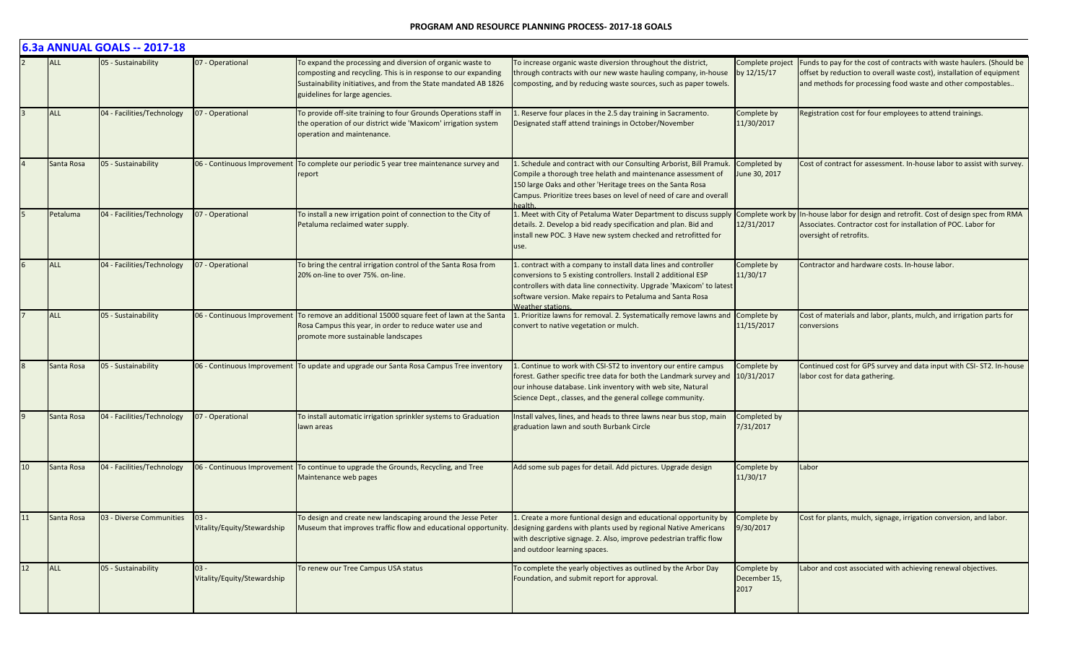|    |            | 6.3a ANNUAL GOALS -- 2017-18 |                                       |                                                                                                                                                                                                                                   |                                                                                                                                                                                                                                                                                                          |                                     |                                                                                                                                                                                                                |
|----|------------|------------------------------|---------------------------------------|-----------------------------------------------------------------------------------------------------------------------------------------------------------------------------------------------------------------------------------|----------------------------------------------------------------------------------------------------------------------------------------------------------------------------------------------------------------------------------------------------------------------------------------------------------|-------------------------------------|----------------------------------------------------------------------------------------------------------------------------------------------------------------------------------------------------------------|
|    | <b>ALL</b> | 05 - Sustainability          | 07 - Operational                      | To expand the processing and diversion of organic waste to<br>composting and recycling. This is in response to our expanding<br>Sustainability initiatives, and from the State mandated AB 1826<br>guidelines for large agencies. | To increase organic waste diversion throughout the district,<br>through contracts with our new waste hauling company, in-house by 12/15/17<br>composting, and by reducing waste sources, such as paper towels.                                                                                           | Complete project                    | Funds to pay for the cost of contracts with waste haulers. (Should be<br>offset by reduction to overall waste cost), installation of equipment<br>and methods for processing food waste and other compostables |
|    | <b>ALL</b> | 04 - Facilities/Technology   | 07 - Operational                      | To provide off-site training to four Grounds Operations staff in<br>the operation of our district wide 'Maxicom' irrigation system<br>operation and maintenance.                                                                  | 1. Reserve four places in the 2.5 day training in Sacramento.<br>Designated staff attend trainings in October/November                                                                                                                                                                                   | Complete by<br>11/30/2017           | Registration cost for four employees to attend trainings.                                                                                                                                                      |
|    | Santa Rosa | 05 - Sustainability          | 06 - Continuous Improvement           | To complete our periodic 5 year tree maintenance survey and<br>report                                                                                                                                                             | 1. Schedule and contract with our Consulting Arborist, Bill Pramuk.<br>Compile a thorough tree helath and maintenance assessment of<br>150 large Oaks and other 'Heritage trees on the Santa Rosa<br>Campus. Prioritize trees bases on level of need of care and overall                                 | Completed by<br>June 30, 2017       | Cost of contract for assessment. In-house labor to assist with survey.                                                                                                                                         |
|    | Petaluma   | 04 - Facilities/Technology   | 07 - Operational                      | To install a new irrigation point of connection to the City of<br>Petaluma reclaimed water supply.                                                                                                                                | 1. Meet with City of Petaluma Water Department to discuss supply Complete work by<br>details. 2. Develop a bid ready specification and plan. Bid and<br>install new POC. 3 Have new system checked and retrofitted for<br>use.                                                                           | 12/31/2017                          | In-house labor for design and retrofit. Cost of design spec from RMA<br>Associates. Contractor cost for installation of POC. Labor for<br>oversight of retrofits.                                              |
|    | <b>ALL</b> | 04 - Facilities/Technology   | 07 - Operational                      | To bring the central irrigation control of the Santa Rosa from<br>20% on-line to over 75%. on-line.                                                                                                                               | 1. contract with a company to install data lines and controller<br>conversions to 5 existing controllers. Install 2 additional ESP<br>controllers with data line connectivity. Upgrade 'Maxicom' to latest<br>software version. Make repairs to Petaluma and Santa Rosa<br><b>Veather stations</b>       | Complete by<br>11/30/17             | Contractor and hardware costs. In-house labor.                                                                                                                                                                 |
|    | <b>ALL</b> | 05 - Sustainability          | 06 - Continuous Improvement           | To remove an additional 15000 square feet of lawn at the Santa<br>Rosa Campus this year, in order to reduce water use and<br>promote more sustainable landscapes                                                                  | 1. Prioritize lawns for removal. 2. Systematically remove lawns and Complete by<br>convert to native vegetation or mulch.                                                                                                                                                                                | 11/15/2017                          | Cost of materials and labor, plants, mulch, and irrigation parts for<br>conversions                                                                                                                            |
|    | Santa Rosa | 05 - Sustainability          |                                       | 06 - Continuous Improvement To update and upgrade our Santa Rosa Campus Tree inventory                                                                                                                                            | Continue to work with CSI-ST2 to inventory our entire campus<br>forest. Gather specific tree data for both the Landmark survey and 10/31/2017<br>our inhouse database. Link inventory with web site, Natural<br>Science Dept., classes, and the general college community.                               | Complete by                         | Continued cost for GPS survey and data input with CSI-ST2. In-house<br>labor cost for data gathering.                                                                                                          |
|    | Santa Rosa | 04 - Facilities/Technology   | 07 - Operational                      | To install automatic irrigation sprinkler systems to Graduation<br>lawn areas                                                                                                                                                     | Install valves, lines, and heads to three lawns near bus stop, main<br>graduation lawn and south Burbank Circle                                                                                                                                                                                          | Completed by<br>7/31/2017           |                                                                                                                                                                                                                |
| 10 | Santa Rosa | 04 - Facilities/Technology   |                                       | 06 - Continuous Improvement   To continue to upgrade the Grounds, Recycling, and Tree<br>Maintenance web pages                                                                                                                    | Add some sub pages for detail. Add pictures. Upgrade design                                                                                                                                                                                                                                              | Complete by<br>11/30/17             | Labor                                                                                                                                                                                                          |
| 11 | Santa Rosa | 03 - Diverse Communities     | $03 -$<br>Vitality/Equity/Stewardship | To design and create new landscaping around the Jesse Peter                                                                                                                                                                       | 1. Create a more funtional design and educational opportunity by<br>Museum that improves traffic flow and educational opportunity. designing gardens with plants used by regional Native Americans<br>with descriptive signage. 2. Also, improve pedestrian traffic flow<br>and outdoor learning spaces. | Complete by<br>9/30/2017            | Cost for plants, mulch, signage, irrigation conversion, and labor.                                                                                                                                             |
| 12 | ALL        | 05 - Sustainability          | $03 -$<br>Vitality/Equity/Stewardship | To renew our Tree Campus USA status                                                                                                                                                                                               | To complete the yearly objectives as outlined by the Arbor Day<br>Foundation, and submit report for approval.                                                                                                                                                                                            | Complete by<br>December 15,<br>2017 | Labor and cost associated with achieving renewal objectives.                                                                                                                                                   |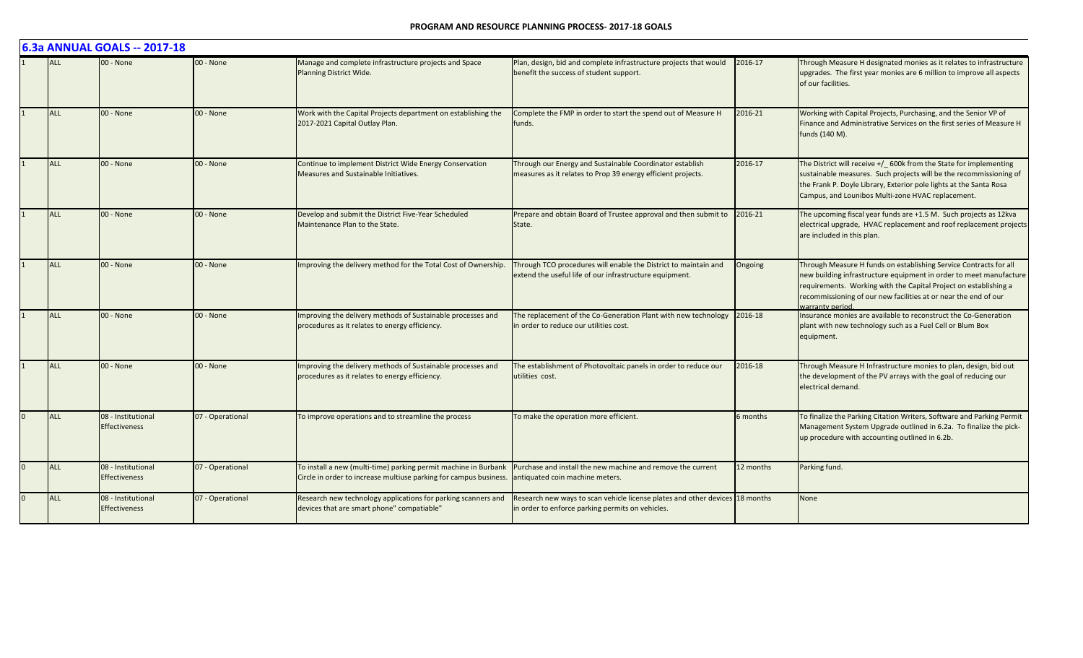|          |            | 6.3a ANNUAL GOALS -- 2017-18               |                  |                                                                                                                                      |                                                                                                                                  |           |                                                                                                                                                                                                                                                                                                    |
|----------|------------|--------------------------------------------|------------------|--------------------------------------------------------------------------------------------------------------------------------------|----------------------------------------------------------------------------------------------------------------------------------|-----------|----------------------------------------------------------------------------------------------------------------------------------------------------------------------------------------------------------------------------------------------------------------------------------------------------|
|          | <b>ALL</b> | 00 - None                                  | 00 - None        | Manage and complete infrastructure projects and Space<br>Planning District Wide.                                                     | Plan, design, bid and complete infrastructure projects that would<br>benefit the success of student support.                     | 2016-17   | Through Measure H designated monies as it relates to infrastructure<br>upgrades. The first year monies are 6 million to improve all aspects<br>of our facilities.                                                                                                                                  |
|          | <b>ALL</b> | 00 - None                                  | 00 - None        | Work with the Capital Projects department on establishing the<br>2017-2021 Capital Outlay Plan.                                      | Complete the FMP in order to start the spend out of Measure H<br>funds.                                                          | 2016-21   | Working with Capital Projects, Purchasing, and the Senior VP of<br>Finance and Administrative Services on the first series of Measure H<br>funds (140 M).                                                                                                                                          |
|          | <b>ALL</b> | 00 - None                                  | 00 - None        | Continue to implement District Wide Energy Conservation<br>Measures and Sustainable Initiatives.                                     | Through our Energy and Sustainable Coordinator establish<br>measures as it relates to Prop 39 energy efficient projects.         | 2016-17   | The District will receive +/_ 600k from the State for implementing<br>sustainable measures. Such projects will be the recommissioning of<br>the Frank P. Doyle Library, Exterior pole lights at the Santa Rosa<br>Campus, and Lounibos Multi-zone HVAC replacement.                                |
|          | <b>ALL</b> | 00 - None                                  | 00 - None        | Develop and submit the District Five-Year Scheduled<br>Maintenance Plan to the State.                                                | Prepare and obtain Board of Trustee approval and then submit to<br>State.                                                        | 2016-21   | The upcoming fiscal year funds are +1.5 M. Such projects as 12kva<br>electrical upgrade, HVAC replacement and roof replacement projects<br>are included in this plan.                                                                                                                              |
|          | <b>ALL</b> | 00 - None                                  | 00 - None        | Improving the delivery method for the Total Cost of Ownership.                                                                       | Through TCO procedures will enable the District to maintain and<br>extend the useful life of our infrastructure equipment.       | Ongoing   | Through Measure H funds on establishing Service Contracts for all<br>new building infrastructure equipment in order to meet manufacture<br>requirements. Working with the Capital Project on establishing a<br>recommissioning of our new facilities at or near the end of our<br>varranty period. |
|          | <b>ALL</b> | 00 - None                                  | 00 - None        | Improving the delivery methods of Sustainable processes and<br>procedures as it relates to energy efficiency.                        | The replacement of the Co-Generation Plant with new technology<br>in order to reduce our utilities cost.                         | 2016-18   | Insurance monies are available to reconstruct the Co-Generation<br>plant with new technology such as a Fuel Cell or Blum Box<br>equipment.                                                                                                                                                         |
|          | <b>ALL</b> | 00 - None                                  | 00 - None        | Improving the delivery methods of Sustainable processes and<br>procedures as it relates to energy efficiency.                        | The establishment of Photovoltaic panels in order to reduce our<br>utilities cost.                                               | 2016-18   | Through Measure H Infrastructure monies to plan, design, bid out<br>the development of the PV arrays with the goal of reducing our<br>electrical demand.                                                                                                                                           |
| $\Omega$ | <b>ALL</b> | 08 - Institutional<br><b>Effectiveness</b> | 07 - Operational | To improve operations and to streamline the process                                                                                  | To make the operation more efficient.                                                                                            | 6 months  | To finalize the Parking Citation Writers, Software and Parking Permit<br>Management System Upgrade outlined in 6.2a. To finalize the pick-<br>up procedure with accounting outlined in 6.2b.                                                                                                       |
| $\Omega$ | ALL        | 08 - Institutional<br><b>Effectiveness</b> | 07 - Operational | To install a new (multi-time) parking permit machine in Burbank<br>Circle in order to increase multiuse parking for campus business. | Purchase and install the new machine and remove the current<br>antiquated coin machine meters.                                   | 12 months | Parking fund.                                                                                                                                                                                                                                                                                      |
| $\Omega$ | <b>ALL</b> | 08 - Institutional<br><b>Effectiveness</b> | 07 - Operational | Research new technology applications for parking scanners and<br>devices that are smart phone" compatiable"                          | Research new ways to scan vehicle license plates and other devices 18 months<br>in order to enforce parking permits on vehicles. |           | None                                                                                                                                                                                                                                                                                               |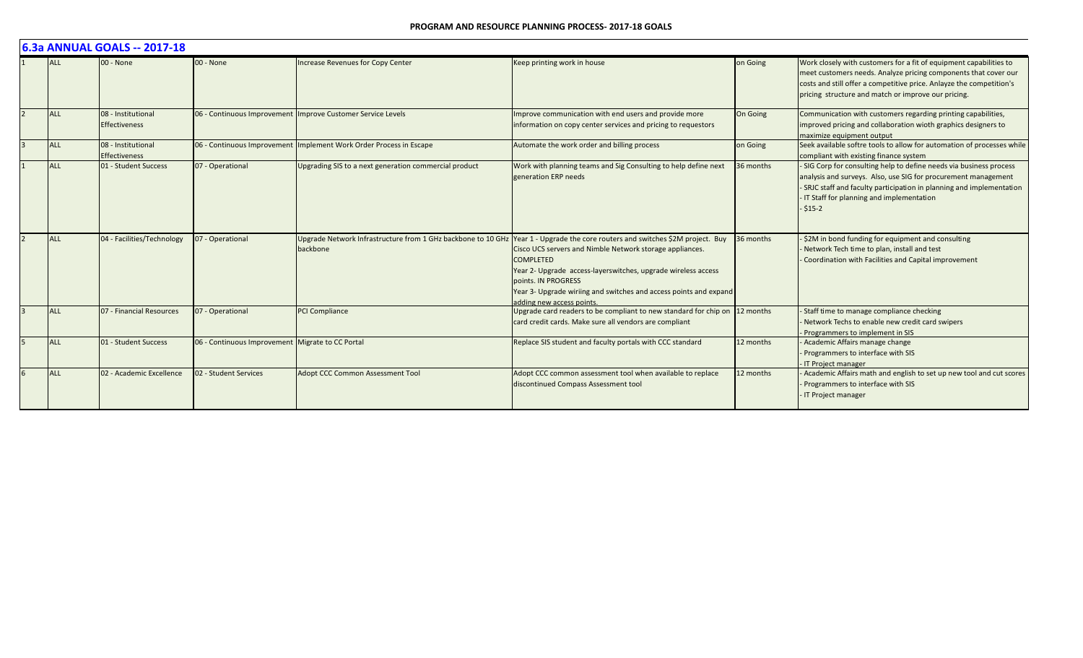#### **PROGRAM AND RESOURCE PLANNING PROCESS- 2017-18 GOALS**

| 6.3a ANNUAL GOALS -- 2017-18 |                                            |                                                  |                                                       |                                                                                                                                                                                                                                                                                                                                                                                                         |           |                                                                                                                                                                                                                                                                      |  |  |  |
|------------------------------|--------------------------------------------|--------------------------------------------------|-------------------------------------------------------|---------------------------------------------------------------------------------------------------------------------------------------------------------------------------------------------------------------------------------------------------------------------------------------------------------------------------------------------------------------------------------------------------------|-----------|----------------------------------------------------------------------------------------------------------------------------------------------------------------------------------------------------------------------------------------------------------------------|--|--|--|
| <b>ALL</b>                   | $00 - None$                                | 00 - None                                        | <b>Increase Revenues for Copy Center</b>              | Keep printing work in house                                                                                                                                                                                                                                                                                                                                                                             | on Going  | Work closely with customers for a fit of equipment capabilities to<br>meet customers needs. Analyze pricing components that cover our<br>costs and still offer a competitive price. Anlayze the competition's<br>pricing structure and match or improve our pricing. |  |  |  |
| <b>ALL</b>                   | 08 - Institutional<br><b>Effectiveness</b> | 06 - Continuous Improvement                      | Improve Customer Service Levels                       | Improve communication with end users and provide more<br>information on copy center services and pricing to requestors                                                                                                                                                                                                                                                                                  | On Going  | Communication with customers regarding printing capabilities,<br>improved pricing and collaboration wioth graphics designers to<br>maximize equipment output                                                                                                         |  |  |  |
| <b>ALL</b>                   | 08 - Institutional<br><b>Effectiveness</b> | 06 - Continuous Improvement                      | Implement Work Order Process in Escape                | Automate the work order and billing process                                                                                                                                                                                                                                                                                                                                                             | on Going  | Seek available softre tools to allow for automation of processes while<br>compliant with existing finance system                                                                                                                                                     |  |  |  |
| ALL                          | 01 - Student Success                       | 07 - Operational                                 | Upgrading SIS to a next generation commercial product | Work with planning teams and Sig Consulting to help define next<br>generation ERP needs                                                                                                                                                                                                                                                                                                                 | 36 months | SIG Corp for consulting help to define needs via business process<br>analysis and surveys. Also, use SIG for procurement management<br>- SRJC staff and faculty participation in planning and implementation<br>IT Staff for planning and implementation<br>$-515-2$ |  |  |  |
| <b>ALL</b>                   | 04 - Facilities/Technology                 | 07 - Operational                                 | backbone                                              | Upgrade Network Infrastructure from 1 GHz backbone to 10 GHz Year 1 - Upgrade the core routers and switches \$2M project. Buy<br>Cisco UCS servers and Nimble Network storage appliances.<br><b>COMPLETED</b><br>Year 2- Upgrade access-layerswitches, upgrade wireless access<br>points. IN PROGRESS<br>Year 3- Upgrade wiriing and switches and access points and expand<br>adding new access points. | 36 months | \$2M in bond funding for equipment and consulting<br>Network Tech time to plan, install and test<br>Coordination with Facilities and Capital improvement                                                                                                             |  |  |  |
| <b>ALL</b>                   | 07 - Financial Resources                   | 07 - Operational                                 | PCI Compliance                                        | Upgrade card readers to be compliant to new standard for chip on 12 months<br>card credit cards. Make sure all vendors are compliant                                                                                                                                                                                                                                                                    |           | Staff time to manage compliance checking<br>Network Techs to enable new credit card swipers<br>- Programmers to implement in SIS                                                                                                                                     |  |  |  |
| <b>ALL</b>                   | 01 - Student Success                       | 06 - Continuous Improvement Migrate to CC Portal |                                                       | Replace SIS student and faculty portals with CCC standard                                                                                                                                                                                                                                                                                                                                               | 12 months | Academic Affairs manage change<br>Programmers to interface with SIS<br>- IT Project manager                                                                                                                                                                          |  |  |  |
| <b>ALL</b>                   | 02 - Academic Excellence                   | 02 - Student Services                            | Adopt CCC Common Assessment Tool                      | Adopt CCC common assessment tool when available to replace<br>discontinued Compass Assessment tool                                                                                                                                                                                                                                                                                                      | 12 months | Academic Affairs math and english to set up new tool and cut scores<br>Programmers to interface with SIS<br><b>IT Project manager</b>                                                                                                                                |  |  |  |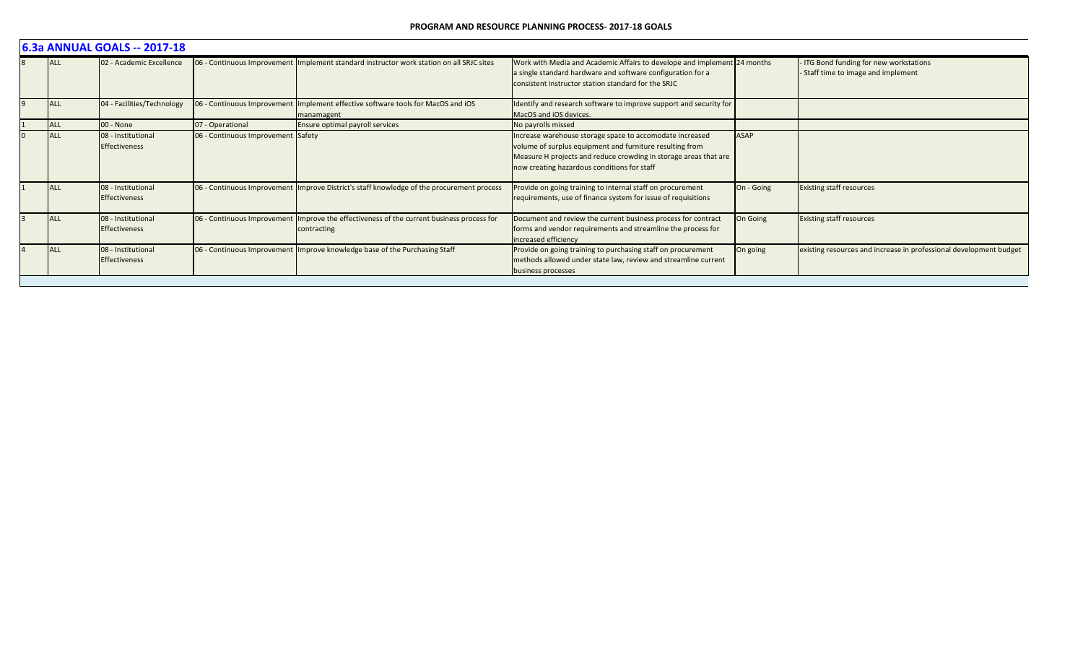| 6.3a ANNUAL GOALS -- 2017-18 |                                            |                                    |                                                                                                          |                                                                                                                                                                                                                                         |             |                                                                            |  |  |  |  |
|------------------------------|--------------------------------------------|------------------------------------|----------------------------------------------------------------------------------------------------------|-----------------------------------------------------------------------------------------------------------------------------------------------------------------------------------------------------------------------------------------|-------------|----------------------------------------------------------------------------|--|--|--|--|
| <b>ALL</b>                   | 02 - Academic Excellence                   |                                    | 06 - Continuous Improvement Implement standard instructor work station on all SRJC sites                 | Work with Media and Academic Affairs to develope and implement 24 months<br>a single standard hardware and software configuration for a<br>consistent instructor station standard for the SRJC                                          |             | ITG Bond funding for new workstations<br>Staff time to image and implement |  |  |  |  |
| <b>ALL</b>                   | 04 - Facilities/Technology                 |                                    | 06 - Continuous Improvement Implement effective software tools for MacOS and iOS<br>manamagent           | Identify and research software to improve support and security for<br>MacOS and iOS devices.                                                                                                                                            |             |                                                                            |  |  |  |  |
| <b>ALL</b>                   | 00 - None                                  | 07 - Operational                   | Ensure optimal payroll services                                                                          | No payrolls missed                                                                                                                                                                                                                      |             |                                                                            |  |  |  |  |
| ALL                          | 08 - Institutional<br><b>Effectiveness</b> | 06 - Continuous Improvement Safety |                                                                                                          | Increase warehouse storage space to accomodate increased<br>volume of surplus equipment and furniture resulting from<br>Measure H projects and reduce crowding in storage areas that are<br>now creating hazardous conditions for staff | <b>ASAP</b> |                                                                            |  |  |  |  |
| <b>ALL</b>                   | 08 - Institutional<br><b>Effectiveness</b> |                                    | 06 - Continuous Improvement Improve District's staff knowledge of the procurement process                | Provide on going training to internal staff on procurement<br>requirements, use of finance system for issue of requisitions                                                                                                             | On - Going  | <b>Existing staff resources</b>                                            |  |  |  |  |
| <b>IALL</b>                  | 08 - Institutional<br><b>Effectiveness</b> |                                    | 06 - Continuous Improvement Improve the effectiveness of the current business process for<br>contracting | Document and review the current business process for contract<br>forms and vendor requirements and streamline the process for<br>increased efficiency                                                                                   | On Going    | <b>Existing staff resources</b>                                            |  |  |  |  |
| <b>ALL</b>                   | 08 - Institutional<br>Effectiveness        |                                    | 06 - Continuous Improvement Improve knowledge base of the Purchasing Staff                               | Provide on going training to purchasing staff on procurement<br>methods allowed under state law, review and streamline current<br>business processes                                                                                    | On going    | existing resources and increase in professional development budget         |  |  |  |  |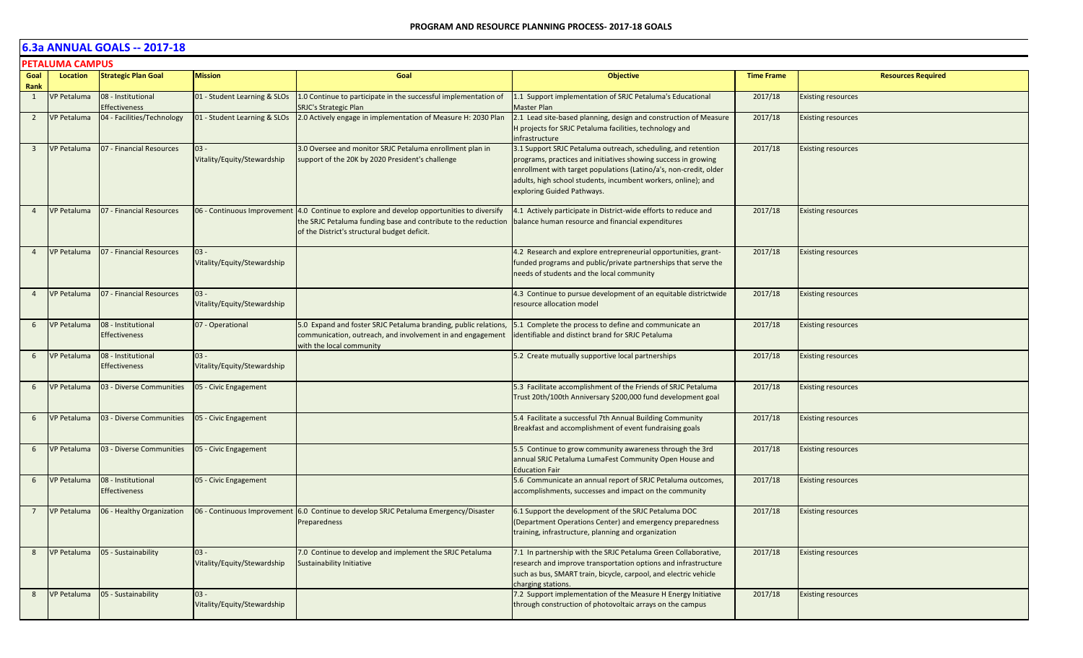|                         | <b>PETALUMA CAMPUS</b> |                                            |                                       |                                                                                                                                                                                  |                                                                                                                                                                                                                                                                                                     |                   |                           |  |  |  |
|-------------------------|------------------------|--------------------------------------------|---------------------------------------|----------------------------------------------------------------------------------------------------------------------------------------------------------------------------------|-----------------------------------------------------------------------------------------------------------------------------------------------------------------------------------------------------------------------------------------------------------------------------------------------------|-------------------|---------------------------|--|--|--|
| Goal<br>Rank            | Location               | <b>Strategic Plan Goal</b>                 | <b>Mission</b>                        | Goal                                                                                                                                                                             | <b>Objective</b>                                                                                                                                                                                                                                                                                    | <b>Time Frame</b> | <b>Resources Required</b> |  |  |  |
| 1                       | <b>VP Petaluma</b>     | 08 - Institutional<br><b>Effectiveness</b> | 01 - Student Learning & SLOs          | 1.0 Continue to participate in the successful implementation of<br><b>SRJC's Strategic Plan</b>                                                                                  | 1.1 Support implementation of SRJC Petaluma's Educational<br>Master Plan                                                                                                                                                                                                                            | 2017/18           | <b>Existing resources</b> |  |  |  |
| $\overline{2}$          | <b>VP Petaluma</b>     | 04 - Facilities/Technology                 | 01 - Student Learning & SLOs          | 2.0 Actively engage in implementation of Measure H: 2030 Plan                                                                                                                    | 2.1 Lead site-based planning, design and construction of Measure<br>H projects for SRJC Petaluma facilities, technology and<br>infrastructure                                                                                                                                                       | 2017/18           | <b>Existing resources</b> |  |  |  |
| $\overline{\mathbf{3}}$ | <b>VP Petaluma</b>     | 07 - Financial Resources                   | $03 -$<br>Vitality/Equity/Stewardship | 3.0 Oversee and monitor SRJC Petaluma enrollment plan in<br>support of the 20K by 2020 President's challenge                                                                     | 3.1 Support SRJC Petaluma outreach, scheduling, and retention<br>programs, practices and initiatives showing success in growing<br>enrollment with target populations (Latino/a's, non-credit, older<br>adults, high school students, incumbent workers, online); and<br>exploring Guided Pathways. | 2017/18           | <b>Existing resources</b> |  |  |  |
| $\overline{4}$          | <b>VP Petaluma</b>     | 07 - Financial Resources                   | 06 - Continuous Improvement           | 4.0 Continue to explore and develop opportunities to diversify<br>the SRJC Petaluma funding base and contribute to the reduction<br>of the District's structural budget deficit. | 4.1 Actively participate in District-wide efforts to reduce and<br>balance human resource and financial expenditures                                                                                                                                                                                | 2017/18           | <b>Existing resources</b> |  |  |  |
| $\overline{4}$          | <b>VP Petaluma</b>     | 07 - Financial Resources                   | $03 -$<br>Vitality/Equity/Stewardship |                                                                                                                                                                                  | 4.2 Research and explore entrepreneurial opportunities, grant-<br>funded programs and public/private partnerships that serve the<br>needs of students and the local community                                                                                                                       | 2017/18           | <b>Existing resources</b> |  |  |  |
| $\overline{4}$          | <b>VP Petaluma</b>     | 07 - Financial Resources                   | $03 -$<br>Vitality/Equity/Stewardship |                                                                                                                                                                                  | 4.3 Continue to pursue development of an equitable districtwide<br>resource allocation model                                                                                                                                                                                                        | 2017/18           | <b>Existing resources</b> |  |  |  |
| 6                       | <b>VP Petaluma</b>     | 08 - Institutional<br><b>Effectiveness</b> | 07 - Operational                      | 5.0 Expand and foster SRJC Petaluma branding, public relations,<br>communication, outreach, and involvement in and engagement<br>with the local community                        | 5.1 Complete the process to define and communicate an<br>identifiable and distinct brand for SRJC Petaluma                                                                                                                                                                                          | 2017/18           | <b>Existing resources</b> |  |  |  |
| 6                       | <b>VP Petaluma</b>     | 08 - Institutional<br><b>Effectiveness</b> | $03 -$<br>Vitality/Equity/Stewardship |                                                                                                                                                                                  | 5.2 Create mutually supportive local partnerships                                                                                                                                                                                                                                                   | 2017/18           | <b>Existing resources</b> |  |  |  |
| 6                       | <b>VP Petaluma</b>     | 03 - Diverse Communities                   | 05 - Civic Engagement                 |                                                                                                                                                                                  | 5.3 Facilitate accomplishment of the Friends of SRJC Petaluma<br>Trust 20th/100th Anniversary \$200,000 fund development goal                                                                                                                                                                       | 2017/18           | <b>Existing resources</b> |  |  |  |
| 6                       | <b>VP Petaluma</b>     | 03 - Diverse Communities                   | 05 - Civic Engagement                 |                                                                                                                                                                                  | 5.4 Facilitate a successful 7th Annual Building Community<br>Breakfast and accomplishment of event fundraising goals                                                                                                                                                                                | 2017/18           | <b>Existing resources</b> |  |  |  |
| 6                       | <b>VP Petaluma</b>     | 03 - Diverse Communities                   | 05 - Civic Engagement                 |                                                                                                                                                                                  | 5.5 Continue to grow community awareness through the 3rd<br>annual SRJC Petaluma LumaFest Community Open House and<br><b>Education Fair</b>                                                                                                                                                         | 2017/18           | <b>Existing resources</b> |  |  |  |
| 6                       | <b>VP Petaluma</b>     | 08 - Institutional<br><b>Effectiveness</b> | 05 - Civic Engagement                 |                                                                                                                                                                                  | 5.6 Communicate an annual report of SRJC Petaluma outcomes,<br>accomplishments, successes and impact on the community                                                                                                                                                                               | 2017/18           | <b>Existing resources</b> |  |  |  |
| $\overline{7}$          | <b>VP Petaluma</b>     | 06 - Healthy Organization                  |                                       | 06 - Continuous Improvement 6.0 Continue to develop SRJC Petaluma Emergency/Disaster<br>Preparedness                                                                             | 6.1 Support the development of the SRJC Petaluma DOC<br>(Department Operations Center) and emergency preparedness<br>training, infrastructure, planning and organization                                                                                                                            | 2017/18           | <b>Existing resources</b> |  |  |  |
| 8                       | <b>VP Petaluma</b>     | 05 - Sustainability                        | $03 -$<br>Vitality/Equity/Stewardship | 7.0 Continue to develop and implement the SRJC Petaluma<br><b>Sustainability Initiative</b>                                                                                      | 7.1 In partnership with the SRJC Petaluma Green Collaborative,<br>research and improve transportation options and infrastructure<br>such as bus, SMART train, bicycle, carpool, and electric vehicle<br>charging stations.                                                                          | 2017/18           | <b>Existing resources</b> |  |  |  |
| 8                       | <b>VP Petaluma</b>     | 05 - Sustainability                        | $03 -$<br>Vitality/Equity/Stewardship |                                                                                                                                                                                  | 7.2 Support implementation of the Measure H Energy Initiative<br>through construction of photovoltaic arrays on the campus                                                                                                                                                                          | 2017/18           | <b>Existing resources</b> |  |  |  |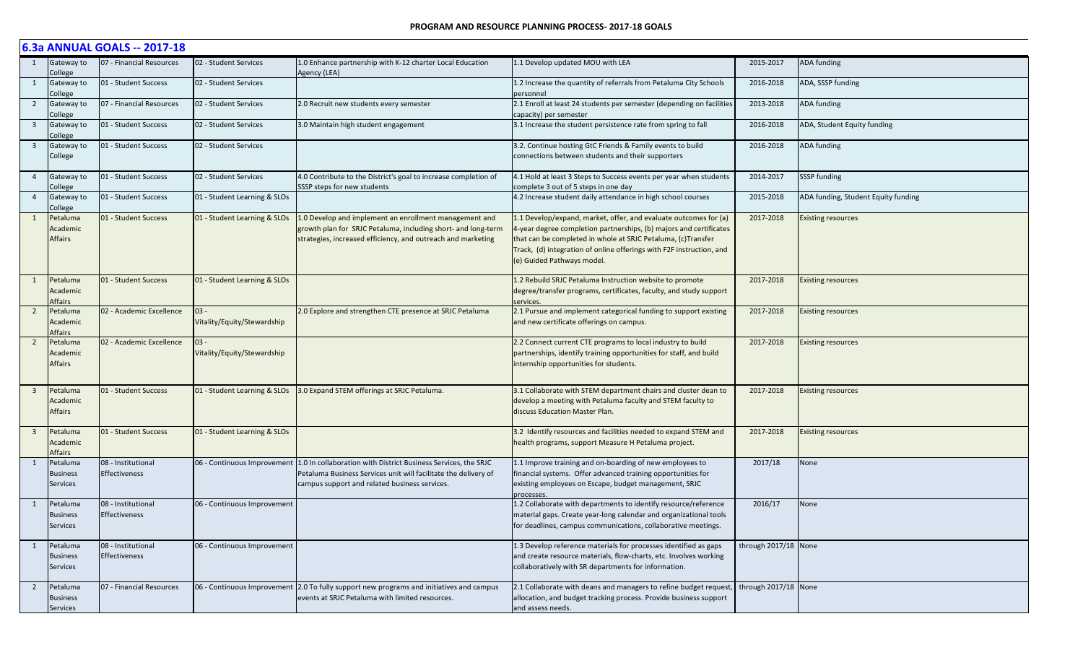|                         | 6.3a ANNUAL GOALS -- 2017-18            |                                            |                                       |                                                                                                                                                                                                                |                                                                                                                                                                                                                                                                                                              |                      |                                     |  |  |  |
|-------------------------|-----------------------------------------|--------------------------------------------|---------------------------------------|----------------------------------------------------------------------------------------------------------------------------------------------------------------------------------------------------------------|--------------------------------------------------------------------------------------------------------------------------------------------------------------------------------------------------------------------------------------------------------------------------------------------------------------|----------------------|-------------------------------------|--|--|--|
| 1                       | Gateway to<br>College                   | 07 - Financial Resources                   | 02 - Student Services                 | 1.0 Enhance partnership with K-12 charter Local Education<br>Agency (LEA)                                                                                                                                      | L.1 Develop updated MOU with LEA                                                                                                                                                                                                                                                                             | 2015-2017            | ADA funding                         |  |  |  |
| $\mathbf{1}$            | Gateway to<br>College                   | 01 - Student Success                       | 02 - Student Services                 |                                                                                                                                                                                                                | 1.2 Increase the quantity of referrals from Petaluma City Schools<br>personnel                                                                                                                                                                                                                               | 2016-2018            | ADA, SSSP funding                   |  |  |  |
| $\overline{2}$          | Gateway to<br>College                   | 07 - Financial Resources                   | 02 - Student Services                 | 2.0 Recruit new students every semester                                                                                                                                                                        | 2.1 Enroll at least 24 students per semester (depending on facilities<br>capacity) per semester                                                                                                                                                                                                              | 2013-2018            | <b>ADA funding</b>                  |  |  |  |
| $\overline{\mathbf{3}}$ | Gateway to<br>College                   | 01 - Student Success                       | 02 - Student Services                 | 3.0 Maintain high student engagement                                                                                                                                                                           | 3.1 Increase the student persistence rate from spring to fall                                                                                                                                                                                                                                                | 2016-2018            | ADA, Student Equity funding         |  |  |  |
| $\overline{\mathbf{3}}$ | Gateway to<br>College                   | 01 - Student Success                       | 02 - Student Services                 |                                                                                                                                                                                                                | 3.2. Continue hosting GtC Friends & Family events to build<br>connections between students and their supporters                                                                                                                                                                                              | 2016-2018            | <b>ADA funding</b>                  |  |  |  |
| 4                       | Gateway to<br>College                   | 01 - Student Success                       | 02 - Student Services                 | 4.0 Contribute to the District's goal to increase completion of<br>SSSP steps for new students                                                                                                                 | 4.1 Hold at least 3 Steps to Success events per year when students<br>complete 3 out of 5 steps in one day                                                                                                                                                                                                   | 2014-2017            | <b>SSSP</b> funding                 |  |  |  |
| $\overline{4}$          | Gateway to<br>College                   | 01 - Student Success                       | 01 - Student Learning & SLOs          |                                                                                                                                                                                                                | 4.2 Increase student daily attendance in high school courses                                                                                                                                                                                                                                                 | 2015-2018            | ADA funding, Student Equity funding |  |  |  |
| $\mathbf{1}$            | Petaluma<br>Academic<br>Affairs         | 01 - Student Success                       | 01 - Student Learning & SLOs          | 1.0 Develop and implement an enrollment management and<br>growth plan for SRJC Petaluma, including short- and long-term<br>strategies, increased efficiency, and outreach and marketing                        | 1.1 Develop/expand, market, offer, and evaluate outcomes for (a)<br>4-year degree completion partnerships, (b) majors and certificates<br>that can be completed in whole at SRJC Petaluma, (c)Transfer<br>Track, (d) integration of online offerings with F2F instruction, and<br>(e) Guided Pathways model. | 2017-2018            | <b>Existing resources</b>           |  |  |  |
| 1                       | Petaluma<br>Academic<br>Affairs         | 01 - Student Success                       | 01 - Student Learning & SLOs          |                                                                                                                                                                                                                | 1.2 Rebuild SRJC Petaluma Instruction website to promote<br>degree/transfer programs, certificates, faculty, and study support<br>services.                                                                                                                                                                  | 2017-2018            | <b>Existing resources</b>           |  |  |  |
| $\overline{2}$          | Petaluma<br>Academic<br>Affairs         | 02 - Academic Excellence                   | $03 -$<br>Vitality/Equity/Stewardship | 2.0 Explore and strengthen CTE presence at SRJC Petaluma                                                                                                                                                       | 2.1 Pursue and implement categorical funding to support existing<br>and new certificate offerings on campus.                                                                                                                                                                                                 | 2017-2018            | <b>Existing resources</b>           |  |  |  |
| $\overline{2}$          | Petaluma<br>Academic<br><b>Affairs</b>  | 02 - Academic Excellence                   | $03 -$<br>Vitality/Equity/Stewardship |                                                                                                                                                                                                                | 2.2 Connect current CTE programs to local industry to build<br>partnerships, identify training opportunities for staff, and build<br>internship opportunities for students.                                                                                                                                  | 2017-2018            | <b>Existing resources</b>           |  |  |  |
| $\overline{\mathbf{3}}$ | Petaluma<br>Academic<br>Affairs         | 01 - Student Success                       | 01 - Student Learning & SLOs          | 3.0 Expand STEM offerings at SRJC Petaluma.                                                                                                                                                                    | 3.1 Collaborate with STEM department chairs and cluster dean to<br>develop a meeting with Petaluma faculty and STEM faculty to<br>discuss Education Master Plan.                                                                                                                                             | 2017-2018            | <b>Existing resources</b>           |  |  |  |
| -3                      | Petaluma<br>Academic<br>Affairs         | 01 - Student Success                       | 01 - Student Learning & SLOs          |                                                                                                                                                                                                                | 3.2 Identify resources and facilities needed to expand STEM and<br>health programs, support Measure H Petaluma project.                                                                                                                                                                                      | 2017-2018            | <b>Existing resources</b>           |  |  |  |
| $\mathbf{1}$            | Petaluma<br><b>Business</b><br>Services | 08 - Institutional<br>Effectiveness        |                                       | 06 - Continuous Improvement 1.0 In collaboration with District Business Services, the SRJC<br>Petaluma Business Services unit will facilitate the delivery of<br>campus support and related business services. | 1.1 Improve training and on-boarding of new employees to<br>financial systems. Offer advanced training opportunities for<br>existing employees on Escape, budget management, SRJC<br>processes.                                                                                                              | 2017/18              | None                                |  |  |  |
| $\mathbf{1}$            | Petaluma<br><b>Business</b><br>Services | 08 - Institutional<br><b>Effectiveness</b> | 06 - Continuous Improvement           |                                                                                                                                                                                                                | 1.2 Collaborate with departments to identify resource/reference<br>material gaps. Create year-long calendar and organizational tools<br>for deadlines, campus communications, collaborative meetings.                                                                                                        | 2016/17              | None                                |  |  |  |
| 1                       | Petaluma<br><b>Business</b><br>Services | 08 - Institutional<br>Effectiveness        | 06 - Continuous Improvement           |                                                                                                                                                                                                                | 1.3 Develop reference materials for processes identified as gaps<br>and create resource materials, flow-charts, etc. Involves working<br>collaboratively with SR departments for information.                                                                                                                | through 2017/18 None |                                     |  |  |  |
| $\overline{2}$          | Petaluma<br><b>Business</b><br>Services | 07 - Financial Resources                   | 06 - Continuous Improvement           | 2.0 To fully support new programs and initiatives and campus<br>events at SRJC Petaluma with limited resources.                                                                                                | 2.1 Collaborate with deans and managers to refine budget request,<br>allocation, and budget tracking process. Provide business support<br>and assess needs.                                                                                                                                                  | through 2017/18 None |                                     |  |  |  |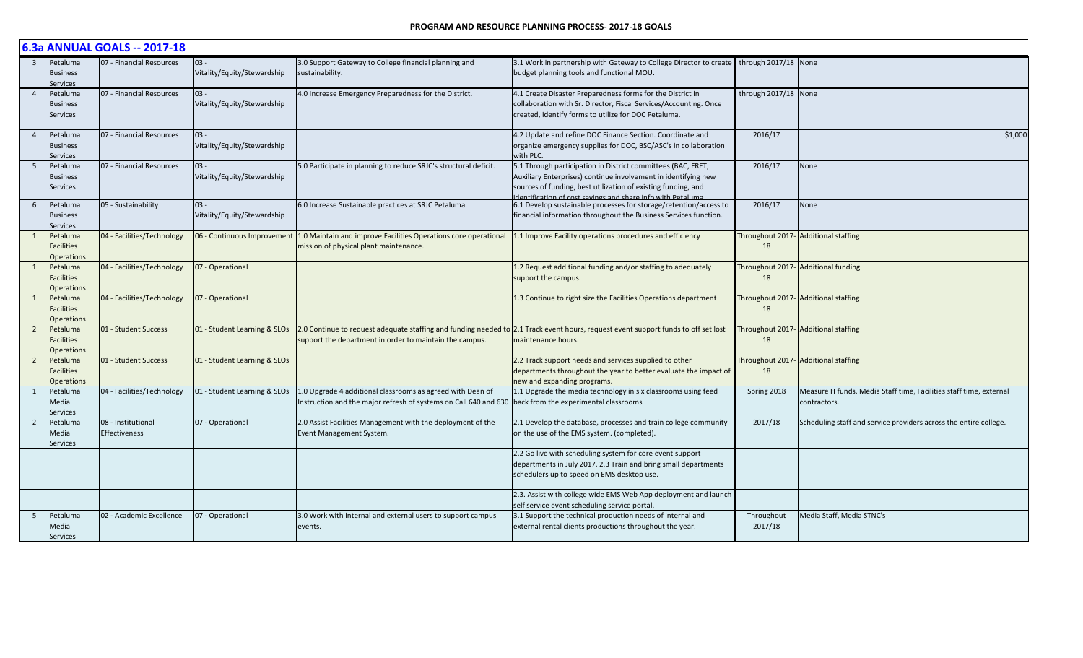#### **PROGRAM AND RESOURCE PLANNING PROCESS- 2017-18 GOALS**

|                         | 6.3a ANNUAL GOALS -- 2017-18                       |                                     |                                       |                                                                                                                                |                                                                                                                                                                                                                                                              |                       |                                                                                    |  |  |  |
|-------------------------|----------------------------------------------------|-------------------------------------|---------------------------------------|--------------------------------------------------------------------------------------------------------------------------------|--------------------------------------------------------------------------------------------------------------------------------------------------------------------------------------------------------------------------------------------------------------|-----------------------|------------------------------------------------------------------------------------|--|--|--|
| $\overline{\mathbf{3}}$ | Petaluma<br><b>Business</b><br>services            | 07 - Financial Resources            | $03 -$<br>Vitality/Equity/Stewardship | 3.0 Support Gateway to College financial planning and<br>sustainability.                                                       | 3.1 Work in partnership with Gateway to College Director to create   through 2017/18 None<br>budget planning tools and functional MOU.                                                                                                                       |                       |                                                                                    |  |  |  |
| $\overline{4}$          | Petaluma<br><b>Business</b><br><b>Services</b>     | 07 - Financial Resources            | $03 -$<br>Vitality/Equity/Stewardship | 4.0 Increase Emergency Preparedness for the District.                                                                          | 4.1 Create Disaster Preparedness forms for the District in<br>collaboration with Sr. Director, Fiscal Services/Accounting. Once<br>created, identify forms to utilize for DOC Petaluma.                                                                      | through 2017/18 None  |                                                                                    |  |  |  |
| $\overline{4}$          | Petaluma<br>Business<br>Services                   | 07 - Financial Resources            | $03 -$<br>Vitality/Equity/Stewardship |                                                                                                                                | 4.2 Update and refine DOC Finance Section. Coordinate and<br>organize emergency supplies for DOC, BSC/ASC's in collaboration<br>with PLC.                                                                                                                    | 2016/17               | \$1,000                                                                            |  |  |  |
| 5                       | Petaluma<br><b>Business</b><br>Services            | 07 - Financial Resources            | $03 -$<br>Vitality/Equity/Stewardship | 5.0 Participate in planning to reduce SRJC's structural deficit.                                                               | 5.1 Through participation in District committees (BAC, FRET,<br>Auxiliary Enterprises) continue involvement in identifying new<br>sources of funding, best utilization of existing funding, and<br>lentification of cost savings and share info with Petalum | 2016/17               | <b>None</b>                                                                        |  |  |  |
| 6                       | Petaluma<br><b>Business</b><br>iervices            | 05 - Sustainability                 | $03 -$<br>Vitality/Equity/Stewardship | 6.0 Increase Sustainable practices at SRJC Petaluma.                                                                           | 6.1 Develop sustainable processes for storage/retention/access to<br>financial information throughout the Business Services function.                                                                                                                        | 2016/17               | None                                                                               |  |  |  |
| 1                       | Petaluma<br>acilities<br><b>Operations</b>         | 04 - Facilities/Technology          | 06 - Continuous Improvement           | 1.0 Maintain and improve Facilities Operations core operational<br>mission of physical plant maintenance.                      | 1.1 Improve Facility operations procedures and efficiency                                                                                                                                                                                                    | 18                    | Throughout 2017- Additional staffing                                               |  |  |  |
| 1                       | Petaluma<br><b>Facilities</b><br><b>Dperations</b> | 04 - Facilities/Technology          | 07 - Operational                      |                                                                                                                                | 1.2 Request additional funding and/or staffing to adequately<br>support the campus.                                                                                                                                                                          | 18                    | Throughout 2017- Additional funding                                                |  |  |  |
| 1                       | Petaluma<br><b>Facilities</b><br><b>Operations</b> | 04 - Facilities/Technology          | 07 - Operational                      |                                                                                                                                | 1.3 Continue to right size the Facilities Operations department                                                                                                                                                                                              | 18                    | Throughout 2017- Additional staffing                                               |  |  |  |
| $\overline{2}$          | Petaluma<br>Facilities<br><b>Dperations</b>        | 01 - Student Success                | 01 - Student Learning & SLOs          | support the department in order to maintain the campus.                                                                        | 2.0 Continue to request adequate staffing and funding needed to 2.1 Track event hours, request event support funds to off set lost<br>maintenance hours.                                                                                                     | 18                    | Throughout 2017- Additional staffing                                               |  |  |  |
| $\overline{2}$          | Petaluma<br>Facilities<br><b>Dperations</b>        | 01 - Student Success                | 01 - Student Learning & SLOs          |                                                                                                                                | 2.2 Track support needs and services supplied to other<br>departments throughout the year to better evaluate the impact of<br>new and expanding programs.                                                                                                    | 18                    | Throughout 2017- Additional staffing                                               |  |  |  |
| 1                       | Petaluma<br>Media<br>ervices                       | 04 - Facilities/Technology          | 01 - Student Learning & SLOs          | 1.0 Upgrade 4 additional classrooms as agreed with Dean of<br>Instruction and the major refresh of systems on Call 640 and 630 | 1.1 Upgrade the media technology in six classrooms using feed<br>back from the experimental classrooms                                                                                                                                                       | Spring 2018           | Measure H funds, Media Staff time, Facilities staff time, external<br>contractors. |  |  |  |
| 2                       | Petaluma<br>Media<br>Services                      | 08 - Institutional<br>Effectiveness | 07 - Operational                      | 2.0 Assist Facilities Management with the deployment of the<br>Event Management System.                                        | 2.1 Develop the database, processes and train college community<br>on the use of the EMS system. (completed).                                                                                                                                                | 2017/18               | Scheduling staff and service providers across the entire college.                  |  |  |  |
|                         |                                                    |                                     |                                       |                                                                                                                                | 2.2 Go live with scheduling system for core event support<br>departments in July 2017, 2.3 Train and bring small departments<br>schedulers up to speed on EMS desktop use.                                                                                   |                       |                                                                                    |  |  |  |
|                         |                                                    |                                     |                                       |                                                                                                                                | 2.3. Assist with college wide EMS Web App deployment and launch<br>elf service event scheduling service portal.                                                                                                                                              |                       |                                                                                    |  |  |  |
| 5                       | Petaluma<br>Media<br><b>Services</b>               | 02 - Academic Excellence            | 07 - Operational                      | 3.0 Work with internal and external users to support campus<br>events.                                                         | 3.1 Support the technical production needs of internal and<br>external rental clients productions throughout the year.                                                                                                                                       | Throughout<br>2017/18 | Media Staff, Media STNC's                                                          |  |  |  |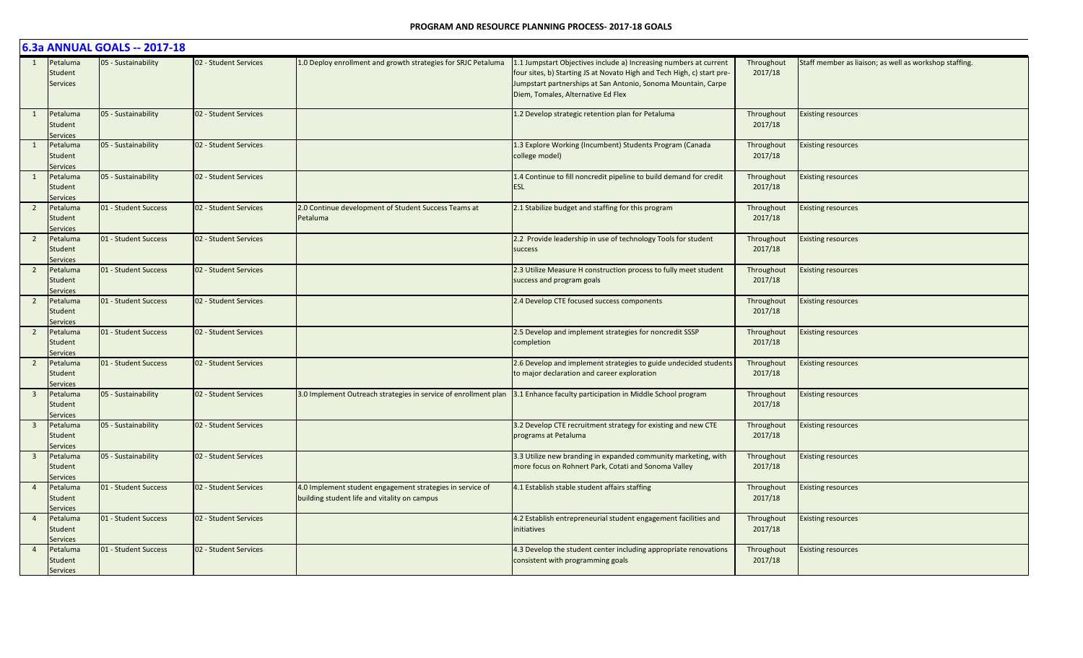|                |                                        | 6.3a ANNUAL GOALS -- 2017-18 |                       |                                                                                                           |                                                                                                                                                                                                                                                    |                       |                                                        |
|----------------|----------------------------------------|------------------------------|-----------------------|-----------------------------------------------------------------------------------------------------------|----------------------------------------------------------------------------------------------------------------------------------------------------------------------------------------------------------------------------------------------------|-----------------------|--------------------------------------------------------|
|                | Petaluma<br>Student<br><b>Services</b> | 05 - Sustainability          | 02 - Student Services | 1.0 Deploy enrollment and growth strategies for SRJC Petaluma                                             | 1.1 Jumpstart Objectives include a) Increasing numbers at current<br>four sites, b) Starting JS at Novato High and Tech High, c) start pre-<br>Jumpstart partnerships at San Antonio, Sonoma Mountain, Carpe<br>Diem, Tomales, Alternative Ed Flex | Throughout<br>2017/18 | Staff member as liaison; as well as workshop staffing. |
| 1              | Petaluma<br>Student<br><b>Services</b> | 05 - Sustainability          | 02 - Student Services |                                                                                                           | 1.2 Develop strategic retention plan for Petaluma                                                                                                                                                                                                  | Throughout<br>2017/18 | <b>Existing resources</b>                              |
|                | Petaluma<br>Student<br>Services        | 05 - Sustainability          | 02 - Student Services |                                                                                                           | 1.3 Explore Working (Incumbent) Students Program (Canada<br>college model)                                                                                                                                                                         | Throughout<br>2017/18 | <b>Existing resources</b>                              |
|                | Petaluma<br>Student<br><b>Services</b> | 05 - Sustainability          | 02 - Student Services |                                                                                                           | 1.4 Continue to fill noncredit pipeline to build demand for credit<br><b>ESL</b>                                                                                                                                                                   | Throughout<br>2017/18 | <b>Existing resources</b>                              |
| $\overline{2}$ | Petaluma<br>Student<br>Services        | 01 - Student Success         | 02 - Student Services | 2.0 Continue development of Student Success Teams at<br>Petaluma                                          | 2.1 Stabilize budget and staffing for this program                                                                                                                                                                                                 | Throughout<br>2017/18 | <b>Existing resources</b>                              |
| $\overline{2}$ | Petaluma<br>Student<br>Services        | 01 - Student Success         | 02 - Student Services |                                                                                                           | 2.2 Provide leadership in use of technology Tools for student<br>success                                                                                                                                                                           | Throughout<br>2017/18 | <b>Existing resources</b>                              |
| 2              | Petaluma<br>Student<br>Services        | 01 - Student Success         | 02 - Student Services |                                                                                                           | 2.3 Utilize Measure H construction process to fully meet student<br>success and program goals                                                                                                                                                      | Throughout<br>2017/18 | <b>Existing resources</b>                              |
| $\overline{2}$ | Petaluma<br>Student<br>Services        | 01 - Student Success         | 02 - Student Services |                                                                                                           | 2.4 Develop CTE focused success components                                                                                                                                                                                                         | Throughout<br>2017/18 | <b>Existing resources</b>                              |
| $\overline{2}$ | Petaluma<br>Student<br>Services        | 01 - Student Success         | 02 - Student Services |                                                                                                           | 2.5 Develop and implement strategies for noncredit SSSP<br>completion                                                                                                                                                                              | Throughout<br>2017/18 | <b>Existing resources</b>                              |
|                | Petaluma<br>Student<br><b>Services</b> | 01 - Student Success         | 02 - Student Services |                                                                                                           | 2.6 Develop and implement strategies to guide undecided students<br>to major declaration and career exploration                                                                                                                                    | Throughout<br>2017/18 | <b>Existing resources</b>                              |
|                | Petaluma<br>Student<br>Services        | 05 - Sustainability          | 02 - Student Services | 3.0 Implement Outreach strategies in service of enrollment plan                                           | 3.1 Enhance faculty participation in Middle School program                                                                                                                                                                                         | Throughout<br>2017/18 | <b>Existing resources</b>                              |
| $\overline{3}$ | Petaluma<br>Student<br>Services        | 05 - Sustainability          | 02 - Student Services |                                                                                                           | 3.2 Develop CTE recruitment strategy for existing and new CTE<br>programs at Petaluma                                                                                                                                                              | Throughout<br>2017/18 | <b>Existing resources</b>                              |
| $\overline{3}$ | Petaluma<br>Student<br>Services        | 05 - Sustainability          | 02 - Student Services |                                                                                                           | 3.3 Utilize new branding in expanded community marketing, with<br>more focus on Rohnert Park, Cotati and Sonoma Valley                                                                                                                             | Throughout<br>2017/18 | <b>Existing resources</b>                              |
|                | Petaluma<br>Student<br>Services        | 01 - Student Success         | 02 - Student Services | 4.0 Implement student engagement strategies in service of<br>building student life and vitality on campus | 4.1 Establish stable student affairs staffing                                                                                                                                                                                                      | Throughout<br>2017/18 | <b>Existing resources</b>                              |
| $\overline{4}$ | Petaluma<br>Student<br>Services        | 01 - Student Success         | 02 - Student Services |                                                                                                           | 4.2 Establish entrepreneurial student engagement facilities and<br>initiatives                                                                                                                                                                     | Throughout<br>2017/18 | <b>Existing resources</b>                              |
|                | Petaluma<br>Student<br><b>Services</b> | 01 - Student Success         | 02 - Student Services |                                                                                                           | 4.3 Develop the student center including appropriate renovations<br>consistent with programming goals                                                                                                                                              | Throughout<br>2017/18 | <b>Existing resources</b>                              |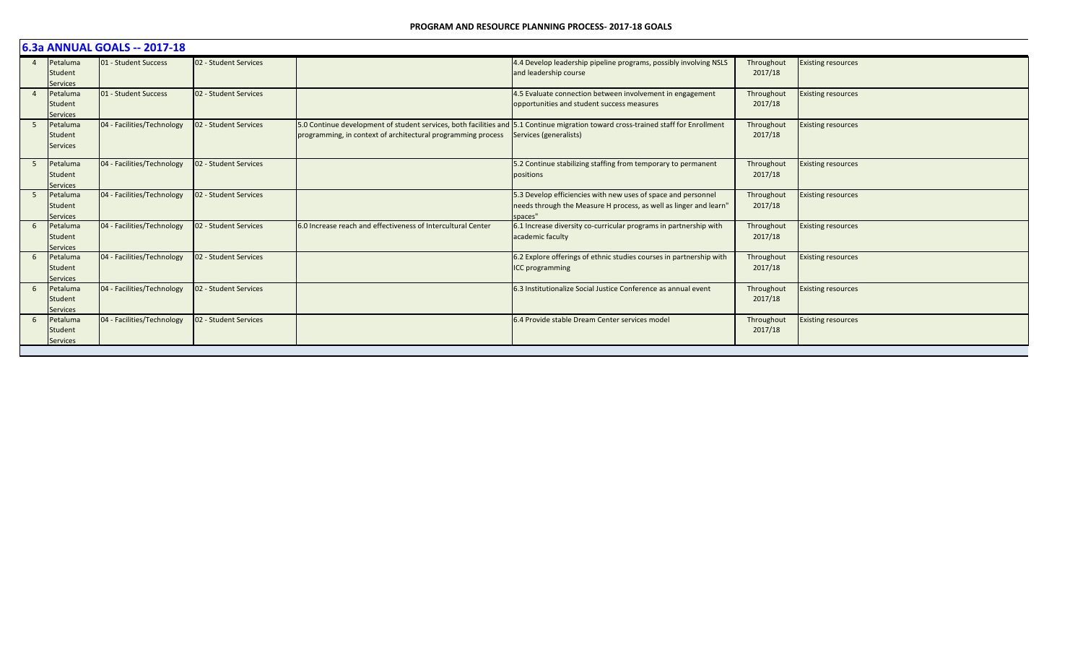|                | 6.3a ANNUAL GOALS -- 2017-18           |                            |                       |                                                              |                                                                                                                                                              |                       |                           |  |  |  |  |
|----------------|----------------------------------------|----------------------------|-----------------------|--------------------------------------------------------------|--------------------------------------------------------------------------------------------------------------------------------------------------------------|-----------------------|---------------------------|--|--|--|--|
| $\overline{4}$ | Petaluma<br>Student<br><b>Services</b> | 01 - Student Success       | 02 - Student Services |                                                              | 4.4 Develop leadership pipeline programs, possibly involving NSLS<br>and leadership course                                                                   | Throughout<br>2017/18 | <b>Existing resources</b> |  |  |  |  |
|                | Petaluma<br>Student<br><b>Services</b> | 01 - Student Success       | 02 - Student Services |                                                              | 4.5 Evaluate connection between involvement in engagement<br>opportunities and student success measures                                                      | Throughout<br>2017/18 | <b>Existing resources</b> |  |  |  |  |
| -5             | Petaluma<br>Student<br><b>Services</b> | 04 - Facilities/Technology | 02 - Student Services | programming, in context of architectural programming process | 5.0 Continue development of student services, both facilities and 5.1 Continue migration toward cross-trained staff for Enrollment<br>Services (generalists) | Throughout<br>2017/18 | <b>Existing resources</b> |  |  |  |  |
| 5              | Petaluma<br>Student<br><b>Services</b> | 04 - Facilities/Technology | 02 - Student Services |                                                              | 5.2 Continue stabilizing staffing from temporary to permanent<br>positions                                                                                   | Throughout<br>2017/18 | <b>Existing resources</b> |  |  |  |  |
| -5             | Petaluma<br>Student<br><b>Services</b> | 04 - Facilities/Technology | 02 - Student Services |                                                              | 5.3 Develop efficiencies with new uses of space and personnel<br>needs through the Measure H process, as well as linger and learn"<br>spaces"                | Throughout<br>2017/18 | <b>Existing resources</b> |  |  |  |  |
| 6              | Petaluma<br>Student<br><b>Services</b> | 04 - Facilities/Technology | 02 - Student Services | 6.0 Increase reach and effectiveness of Intercultural Center | 6.1 Increase diversity co-curricular programs in partnership with<br>academic faculty                                                                        | Throughout<br>2017/18 | <b>Existing resources</b> |  |  |  |  |
| 6              | Petaluma<br>Student<br><b>Services</b> | 04 - Facilities/Technology | 02 - Student Services |                                                              | 6.2 Explore offerings of ethnic studies courses in partnership with<br>ICC programming                                                                       | Throughout<br>2017/18 | <b>Existing resources</b> |  |  |  |  |
| 6              | Petaluma<br>Student<br><b>Services</b> | 04 - Facilities/Technology | 02 - Student Services |                                                              | 6.3 Institutionalize Social Justice Conference as annual event                                                                                               | Throughout<br>2017/18 | <b>Existing resources</b> |  |  |  |  |
| 6              | Petaluma<br>Student<br><b>Services</b> | 04 - Facilities/Technology | 02 - Student Services |                                                              | 6.4 Provide stable Dream Center services model                                                                                                               | Throughout<br>2017/18 | <b>Existing resources</b> |  |  |  |  |
|                |                                        |                            |                       |                                                              |                                                                                                                                                              |                       |                           |  |  |  |  |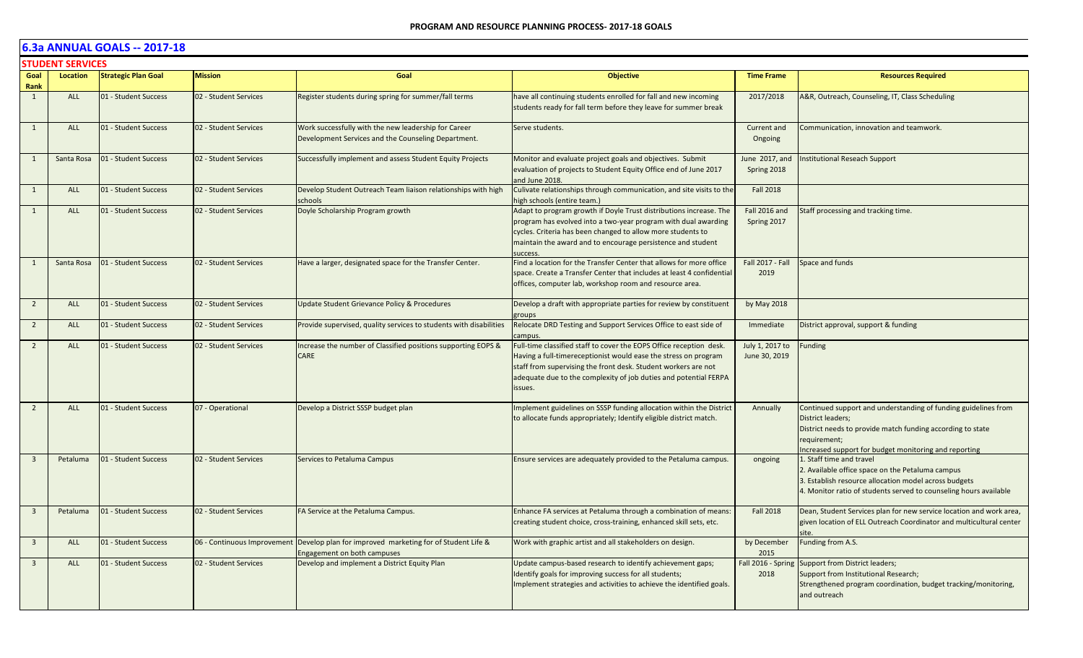|                         | <b>STUDENT SERVICES</b> |                            |                             |                                                                                                             |                                                                                                                                                                                                                                                                                         |                                  |                                                                                                                                                                                                                            |  |  |  |
|-------------------------|-------------------------|----------------------------|-----------------------------|-------------------------------------------------------------------------------------------------------------|-----------------------------------------------------------------------------------------------------------------------------------------------------------------------------------------------------------------------------------------------------------------------------------------|----------------------------------|----------------------------------------------------------------------------------------------------------------------------------------------------------------------------------------------------------------------------|--|--|--|
| Goal<br>Rank            | Location                | <b>Strategic Plan Goal</b> | <b>Mission</b>              | Goal                                                                                                        | <b>Objective</b>                                                                                                                                                                                                                                                                        | <b>Time Frame</b>                | <b>Resources Required</b>                                                                                                                                                                                                  |  |  |  |
| 1                       | <b>ALL</b>              | 01 - Student Success       | 02 - Student Services       | Register students during spring for summer/fall terms                                                       | have all continuing students enrolled for fall and new incoming<br>students ready for fall term before they leave for summer break                                                                                                                                                      | 2017/2018                        | A&R, Outreach, Counseling, IT, Class Scheduling                                                                                                                                                                            |  |  |  |
| 1                       | <b>ALL</b>              | 01 - Student Success       | 02 - Student Services       | Work successfully with the new leadership for Career<br>Development Services and the Counseling Department. | Serve students.                                                                                                                                                                                                                                                                         | Current and<br>Ongoing           | Communication, innovation and teamwork.                                                                                                                                                                                    |  |  |  |
| 1                       | Santa Rosa              | 01 - Student Success       | 02 - Student Services       | Successfully implement and assess Student Equity Projects                                                   | Monitor and evaluate project goals and objectives. Submit<br>evaluation of projects to Student Equity Office end of June 2017<br>and June 2018.                                                                                                                                         | June 2017, and<br>Spring 2018    | Institutional Reseach Support                                                                                                                                                                                              |  |  |  |
| 1                       | ALL                     | 01 - Student Success       | 02 - Student Services       | Develop Student Outreach Team liaison relationships with high<br>schools                                    | Culivate relationships through communication, and site visits to the<br>nigh schools (entire team.)                                                                                                                                                                                     | <b>Fall 2018</b>                 |                                                                                                                                                                                                                            |  |  |  |
| 1                       | <b>ALL</b>              | 01 - Student Success       | 02 - Student Services       | Doyle Scholarship Program growth                                                                            | Adapt to program growth if Doyle Trust distributions increase. The<br>program has evolved into a two-year program with dual awarding<br>cycles. Criteria has been changed to allow more students to<br>maintain the award and to encourage persistence and student<br>success           | Fall 2016 and<br>Spring 2017     | Staff processing and tracking time.                                                                                                                                                                                        |  |  |  |
| 1                       | Santa Rosa              | 01 - Student Success       | 02 - Student Services       | Have a larger, designated space for the Transfer Center.                                                    | Find a location for the Transfer Center that allows for more office<br>space. Create a Transfer Center that includes at least 4 confidential<br>offices, computer lab, workshop room and resource area.                                                                                 | <b>Fall 2017 - Fall</b><br>2019  | Space and funds                                                                                                                                                                                                            |  |  |  |
| $\overline{2}$          | ALL                     | 01 - Student Success       | 02 - Student Services       | Update Student Grievance Policy & Procedures                                                                | Develop a draft with appropriate parties for review by constituent<br>groups                                                                                                                                                                                                            | by May 2018                      |                                                                                                                                                                                                                            |  |  |  |
| $\overline{2}$          | <b>ALL</b>              | 01 - Student Success       | 02 - Student Services       | Provide supervised, quality services to students with disabilities                                          | Relocate DRD Testing and Support Services Office to east side of<br>campus.                                                                                                                                                                                                             | Immediate                        | District approval, support & funding                                                                                                                                                                                       |  |  |  |
| 2                       | <b>ALL</b>              | 01 - Student Success       | 02 - Student Services       | Increase the number of Classified positions supporting EOPS &<br>CARE                                       | Full-time classified staff to cover the EOPS Office reception desk.<br>Having a full-timereceptionist would ease the stress on program<br>staff from supervising the front desk. Student workers are not<br>adequate due to the complexity of job duties and potential FERPA<br>issues. | July 1, 2017 to<br>June 30, 2019 | <b>Funding</b>                                                                                                                                                                                                             |  |  |  |
| $\overline{2}$          | ALL                     | 01 - Student Success       | 07 - Operational            | Develop a District SSSP budget plan                                                                         | Implement guidelines on SSSP funding allocation within the District<br>to allocate funds appropriately; Identify eligible district match.                                                                                                                                               | Annually                         | Continued support and understanding of funding guidelines from<br>District leaders;<br>District needs to provide match funding according to state<br>requirement;<br>Increased support for budget monitoring and reporting |  |  |  |
| $\overline{\mathbf{3}}$ | Petaluma                | 01 - Student Success       | 02 - Student Services       | Services to Petaluma Campus                                                                                 | Ensure services are adequately provided to the Petaluma campus.                                                                                                                                                                                                                         | ongoing                          | 1. Staff time and travel<br>2. Available office space on the Petaluma campus<br>3. Establish resource allocation model across budgets<br>4. Monitor ratio of students served to counseling hours available                 |  |  |  |
| $\overline{\mathbf{3}}$ | Petaluma                | 01 - Student Success       | 02 - Student Services       | FA Service at the Petaluma Campus.                                                                          | Enhance FA services at Petaluma through a combination of means:<br>creating student choice, cross-training, enhanced skill sets, etc.                                                                                                                                                   | <b>Fall 2018</b>                 | Dean, Student Services plan for new service location and work area,<br>given location of ELL Outreach Coordinator and multicultural center<br>site.                                                                        |  |  |  |
| $\overline{\mathbf{3}}$ | <b>ALL</b>              | 01 - Student Success       | 06 - Continuous Improvement | Develop plan for improved marketing for of Student Life &<br>Engagement on both campuses                    | Work with graphic artist and all stakeholders on design.                                                                                                                                                                                                                                | by December<br>2015              | Funding from A.S.                                                                                                                                                                                                          |  |  |  |
| $\overline{\mathbf{3}}$ | <b>ALL</b>              | 01 - Student Success       | 02 - Student Services       | Develop and implement a District Equity Plan                                                                | Update campus-based research to identify achievement gaps;<br>Identify goals for improving success for all students;<br>Implement strategies and activities to achieve the identified goals.                                                                                            | 2018                             | Fall 2016 - Spring Support from District leaders;<br>Support from Institutional Research;<br>Strengthened program coordination, budget tracking/monitoring,<br>and outreach                                                |  |  |  |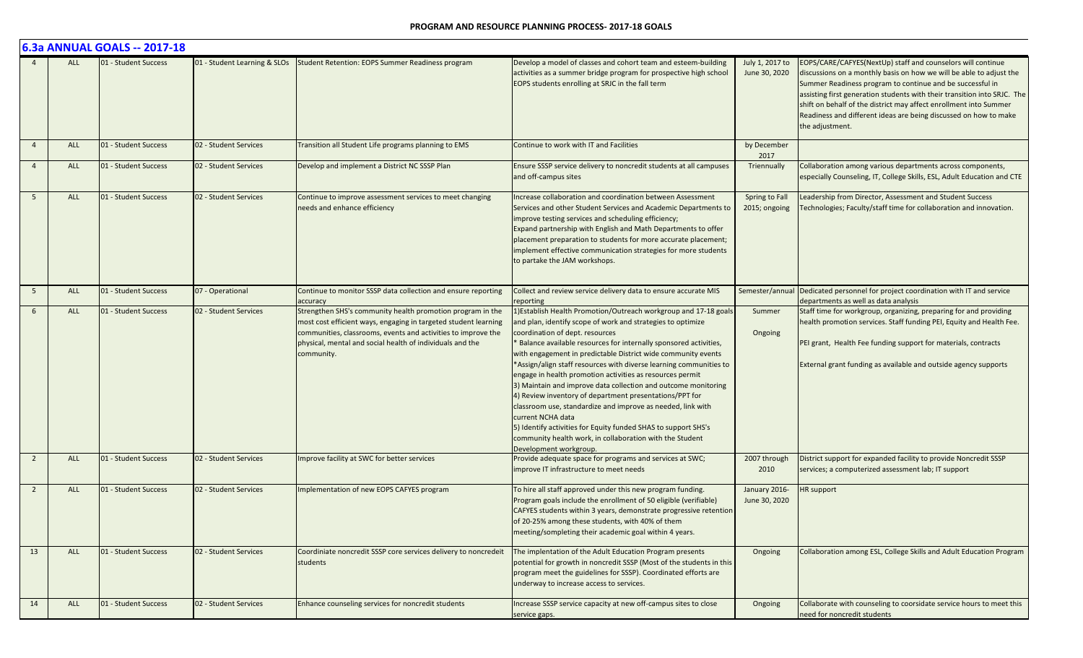|                 |            | 6.3a ANNUAL GOALS -- 2017-18 |                              |                                                                                                                                                                                                                                                                                       |                                                                                                                                                                                                                                                                                                                                                                                                                                                                                                                                                                                                                                                                                                                                                                                                                                    |                                  |                                                                                                                                                                                                                                                                                                                                                                                                                                         |
|-----------------|------------|------------------------------|------------------------------|---------------------------------------------------------------------------------------------------------------------------------------------------------------------------------------------------------------------------------------------------------------------------------------|------------------------------------------------------------------------------------------------------------------------------------------------------------------------------------------------------------------------------------------------------------------------------------------------------------------------------------------------------------------------------------------------------------------------------------------------------------------------------------------------------------------------------------------------------------------------------------------------------------------------------------------------------------------------------------------------------------------------------------------------------------------------------------------------------------------------------------|----------------------------------|-----------------------------------------------------------------------------------------------------------------------------------------------------------------------------------------------------------------------------------------------------------------------------------------------------------------------------------------------------------------------------------------------------------------------------------------|
|                 | <b>ALL</b> | 01 - Student Success         | 01 - Student Learning & SLOs | Student Retention: EOPS Summer Readiness program                                                                                                                                                                                                                                      | Develop a model of classes and cohort team and esteem-building<br>activities as a summer bridge program for prospective high school<br>EOPS students enrolling at SRJC in the fall term                                                                                                                                                                                                                                                                                                                                                                                                                                                                                                                                                                                                                                            | July 1, 2017 to<br>June 30, 2020 | EOPS/CARE/CAFYES(NextUp) staff and counselors will continue<br>discussions on a monthly basis on how we will be able to adjust the<br>Summer Readiness program to continue and be successful in<br>assisting first generation students with their transition into SRJC. The<br>shift on behalf of the district may affect enrollment into Summer<br>Readiness and different ideas are being discussed on how to make<br>the adjustment. |
| $\overline{4}$  | <b>ALL</b> | 01 - Student Success         | 02 - Student Services        | Transition all Student Life programs planning to EMS                                                                                                                                                                                                                                  | Continue to work with IT and Facilities                                                                                                                                                                                                                                                                                                                                                                                                                                                                                                                                                                                                                                                                                                                                                                                            | by December<br>2017              |                                                                                                                                                                                                                                                                                                                                                                                                                                         |
| $\overline{4}$  | <b>ALL</b> | 01 - Student Success         | 02 - Student Services        | Develop and implement a District NC SSSP Plan                                                                                                                                                                                                                                         | Ensure SSSP service delivery to noncredit students at all campuses<br>and off-campus sites                                                                                                                                                                                                                                                                                                                                                                                                                                                                                                                                                                                                                                                                                                                                         | Triennually                      | Collaboration among various departments across components,<br>especially Counseling, IT, College Skills, ESL, Adult Education and CTE                                                                                                                                                                                                                                                                                                   |
| $5\overline{5}$ | <b>ALL</b> | 01 - Student Success         | 02 - Student Services        | Continue to improve assessment services to meet changing<br>needs and enhance efficiency                                                                                                                                                                                              | Increase collaboration and coordination between Assessment<br>Services and other Student Services and Academic Departments to<br>improve testing services and scheduling efficiency;<br>Expand partnership with English and Math Departments to offer<br>placement preparation to students for more accurate placement;<br>implement effective communication strategies for more students<br>to partake the JAM workshops.                                                                                                                                                                                                                                                                                                                                                                                                         | Spring to Fall<br>2015; ongoing  | Leadership from Director, Assessment and Student Success<br>Technologies; Faculty/staff time for collaboration and innovation.                                                                                                                                                                                                                                                                                                          |
| 5               | ALL        | 01 - Student Success         | 07 - Operational             | Continue to monitor SSSP data collection and ensure reporting                                                                                                                                                                                                                         | Collect and review service delivery data to ensure accurate MIS                                                                                                                                                                                                                                                                                                                                                                                                                                                                                                                                                                                                                                                                                                                                                                    | Semester/annual                  | Dedicated personnel for project coordination with IT and service                                                                                                                                                                                                                                                                                                                                                                        |
| 6               | <b>ALL</b> | 01 - Student Success         | 02 - Student Services        | accuracy<br>Strengthen SHS's community health promotion program in the<br>most cost efficient ways, engaging in targeted student learning<br>communities, classrooms, events and activities to improve the<br>physical, mental and social health of individuals and the<br>community. | reporting<br>1) Establish Health Promotion/Outreach workgroup and 17-18 goals<br>and plan, identify scope of work and strategies to optimize<br>coordination of dept. resources<br>* Balance available resources for internally sponsored activities,<br>with engagement in predictable District wide community events<br>*Assign/align staff resources with diverse learning communities to<br>engage in health promotion activities as resources permit<br>3) Maintain and improve data collection and outcome monitoring<br>4) Review inventory of department presentations/PPT for<br>classroom use, standardize and improve as needed, link with<br>current NCHA data<br>5) Identify activities for Equity funded SHAS to support SHS's<br>community health work, in collaboration with the Student<br>Development workgroup. | Summer<br>Ongoing                | departments as well as data analysis<br>Staff time for workgroup, organizing, preparing for and providing<br>health promotion services. Staff funding PEI, Equity and Health Fee.<br>PEI grant, Health Fee funding support for materials, contracts<br>External grant funding as available and outside agency supports                                                                                                                  |
| $\overline{2}$  | ALL        | 01 - Student Success         | 02 - Student Services        | Improve facility at SWC for better services                                                                                                                                                                                                                                           | Provide adequate space for programs and services at SWC;<br>improve IT infrastructure to meet needs                                                                                                                                                                                                                                                                                                                                                                                                                                                                                                                                                                                                                                                                                                                                | 2007 through<br>2010             | District support for expanded facility to provide Noncredit SSSP<br>services; a computerized assessment lab; IT support                                                                                                                                                                                                                                                                                                                 |
| $\overline{2}$  | <b>ALL</b> | 01 - Student Success         | 02 - Student Services        | mplementation of new EOPS CAFYES program                                                                                                                                                                                                                                              | To hire all staff approved under this new program funding.<br>Program goals include the enrollment of 50 eligible (verifiable)<br>CAFYES students within 3 years, demonstrate progressive retention<br>of 20-25% among these students, with 40% of them<br>meeting/sompleting their academic goal within 4 years.                                                                                                                                                                                                                                                                                                                                                                                                                                                                                                                  | January 2016-<br>June 30, 2020   | HR support                                                                                                                                                                                                                                                                                                                                                                                                                              |
| 13              | ALL        | 01 - Student Success         | 02 - Student Services        | Coordiniate noncredit SSSP core services delivery to noncredeit<br>students                                                                                                                                                                                                           | The implentation of the Adult Education Program presents<br>potential for growth in noncredit SSSP (Most of the students in this<br>program meet the guidelines for SSSP). Coordinated efforts are<br>underway to increase access to services.                                                                                                                                                                                                                                                                                                                                                                                                                                                                                                                                                                                     | Ongoing                          | Collaboration among ESL, College Skills and Adult Education Program                                                                                                                                                                                                                                                                                                                                                                     |
| 14              | ALL        | 01 - Student Success         | 02 - Student Services        | Enhance counseling services for noncredit students                                                                                                                                                                                                                                    | Increase SSSP service capacity at new off-campus sites to close<br>service gaps.                                                                                                                                                                                                                                                                                                                                                                                                                                                                                                                                                                                                                                                                                                                                                   | Ongoing                          | Collaborate with counseling to coorsidate service hours to meet this<br>need for noncredit students                                                                                                                                                                                                                                                                                                                                     |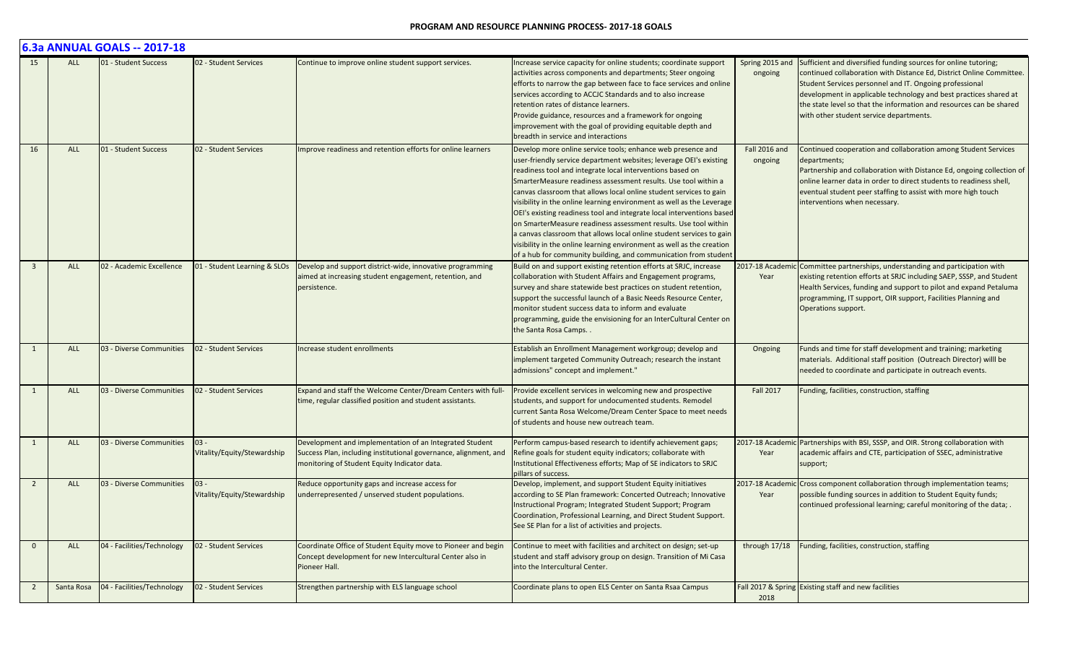|                |            | 6.3a ANNUAL GOALS -- 2017-18 |                                       |                                                                                                                                                                             |                                                                                                                                                                                                                                                                                                                                                                                                                                                                                                                                                                                                                                                                                                                                                                                 |                            |                                                                                                                                                                                                                                                                                                                                                                                           |
|----------------|------------|------------------------------|---------------------------------------|-----------------------------------------------------------------------------------------------------------------------------------------------------------------------------|---------------------------------------------------------------------------------------------------------------------------------------------------------------------------------------------------------------------------------------------------------------------------------------------------------------------------------------------------------------------------------------------------------------------------------------------------------------------------------------------------------------------------------------------------------------------------------------------------------------------------------------------------------------------------------------------------------------------------------------------------------------------------------|----------------------------|-------------------------------------------------------------------------------------------------------------------------------------------------------------------------------------------------------------------------------------------------------------------------------------------------------------------------------------------------------------------------------------------|
| 15             | <b>ALL</b> | 01 - Student Success         | 02 - Student Services                 | Continue to improve online student support services.                                                                                                                        | Increase service capacity for online students; coordinate support<br>activities across components and departments; Steer ongoing<br>efforts to narrow the gap between face to face services and online<br>services according to ACCJC Standards and to also increase<br>retention rates of distance learners.<br>Provide guidance, resources and a framework for ongoing<br>improvement with the goal of providing equitable depth and<br>breadth in service and interactions                                                                                                                                                                                                                                                                                                   | Spring 2015 and<br>ongoing | Sufficient and diversified funding sources for online tutoring;<br>continued collaboration with Distance Ed, District Online Committee.<br>Student Services personnel and IT. Ongoing professional<br>development in applicable technology and best practices shared at<br>the state level so that the information and resources can be shared<br>with other student service departments. |
| 16             | <b>ALL</b> | 01 - Student Success         | 02 - Student Services                 | Improve readiness and retention efforts for online learners                                                                                                                 | Develop more online service tools; enhance web presence and<br>user-friendly service department websites; leverage OEI's existing<br>readiness tool and integrate local interventions based on<br>SmarterMeasure readiness assessment results. Use tool within a<br>canvas classroom that allows local online student services to gain<br>visibility in the online learning environment as well as the Leverage<br>OEI's existing readiness tool and integrate local interventions based<br>on SmarterMeasure readiness assessment results. Use tool within<br>a canvas classroom that allows local online student services to gain<br>visibility in the online learning environment as well as the creation<br>of a hub for community building, and communication from student | Fall 2016 and<br>ongoing   | Continued cooperation and collaboration among Student Services<br>departments;<br>Partnership and collaboration with Distance Ed, ongoing collection of<br>online learner data in order to direct students to readiness shell,<br>eventual student peer staffing to assist with more high touch<br>interventions when necessary.                                                          |
| $\overline{3}$ | <b>ALL</b> | 02 - Academic Excellence     | 01 - Student Learning & SLOs          | Develop and support district-wide, innovative programming<br>aimed at increasing student engagement, retention, and<br>persistence.                                         | Build on and support existing retention efforts at SRJC, increase<br>collaboration with Student Affairs and Engagement programs,<br>survey and share statewide best practices on student retention,<br>support the successful launch of a Basic Needs Resource Center,<br>monitor student success data to inform and evaluate<br>programming, guide the envisioning for an InterCultural Center on<br>the Santa Rosa Camps                                                                                                                                                                                                                                                                                                                                                      | Year                       | 2017-18 Academic Committee partnerships, understanding and participation with<br>existing retention efforts at SRJC including SAEP, SSSP, and Student<br>Health Services, funding and support to pilot and expand Petaluma<br>programming, IT support, OIR support, Facilities Planning and<br>Operations support.                                                                        |
| 1              | ALL        | 03 - Diverse Communities     | 02 - Student Services                 | ncrease student enrollments                                                                                                                                                 | Establish an Enrollment Management workgroup; develop and<br>implement targeted Community Outreach; research the instant<br>admissions" concept and implement."                                                                                                                                                                                                                                                                                                                                                                                                                                                                                                                                                                                                                 | Ongoing                    | Funds and time for staff development and training; marketing<br>materials. Additional staff position (Outreach Director) willl be<br>needed to coordinate and participate in outreach events.                                                                                                                                                                                             |
| 1              | ALL        | 03 - Diverse Communities     | 02 - Student Services                 | Expand and staff the Welcome Center/Dream Centers with full-<br>time, regular classified position and student assistants.                                                   | Provide excellent services in welcoming new and prospective<br>students, and support for undocumented students. Remodel<br>current Santa Rosa Welcome/Dream Center Space to meet needs<br>of students and house new outreach team.                                                                                                                                                                                                                                                                                                                                                                                                                                                                                                                                              | <b>Fall 2017</b>           | Funding, facilities, construction, staffing                                                                                                                                                                                                                                                                                                                                               |
| $\mathbf{1}$   | <b>ALL</b> | 03 - Diverse Communities     | $03 -$<br>Vitality/Equity/Stewardship | Development and implementation of an Integrated Student<br>Success Plan, including institutional governance, alignment, and<br>monitoring of Student Equity Indicator data. | Perform campus-based research to identify achievement gaps;<br>Refine goals for student equity indicators; collaborate with<br>Institutional Effectiveness efforts; Map of SE indicators to SRJC<br>pillars of success.                                                                                                                                                                                                                                                                                                                                                                                                                                                                                                                                                         | 2017-18 Academi<br>Year    | Partnerships with BSI, SSSP, and OIR. Strong collaboration with<br>academic affairs and CTE, participation of SSEC, administrative<br>support;                                                                                                                                                                                                                                            |
| $\overline{2}$ | <b>ALL</b> | 03 - Diverse Communities     | $03 -$<br>Vitality/Equity/Stewardship | Reduce opportunity gaps and increase access for<br>underrepresented / unserved student populations.                                                                         | Develop, implement, and support Student Equity initiatives<br>according to SE Plan framework: Concerted Outreach; Innovative<br>Instructional Program; Integrated Student Support; Program<br>Coordination, Professional Learning, and Direct Student Support.<br>See SE Plan for a list of activities and projects.                                                                                                                                                                                                                                                                                                                                                                                                                                                            | 2017-18 Academi<br>Year    | Cross component collaboration through implementation teams;<br>possible funding sources in addition to Student Equity funds;<br>continued professional learning; careful monitoring of the data; .                                                                                                                                                                                        |
| $\overline{0}$ | <b>ALL</b> | 04 - Facilities/Technology   | 02 - Student Services                 | Coordinate Office of Student Equity move to Pioneer and begin<br>Concept development for new Intercultural Center also in<br>Pioneer Hall.                                  | Continue to meet with facilities and architect on design; set-up<br>student and staff advisory group on design. Transition of Mi Casa<br>into the Intercultural Center.                                                                                                                                                                                                                                                                                                                                                                                                                                                                                                                                                                                                         | through 17/18              | Funding, facilities, construction, staffing                                                                                                                                                                                                                                                                                                                                               |
| $\overline{2}$ | Santa Rosa | 04 - Facilities/Technology   | 02 - Student Services                 | Strengthen partnership with ELS language school                                                                                                                             | Coordinate plans to open ELS Center on Santa Rsaa Campus                                                                                                                                                                                                                                                                                                                                                                                                                                                                                                                                                                                                                                                                                                                        | 2018                       | Fall 2017 & Spring Existing staff and new facilities                                                                                                                                                                                                                                                                                                                                      |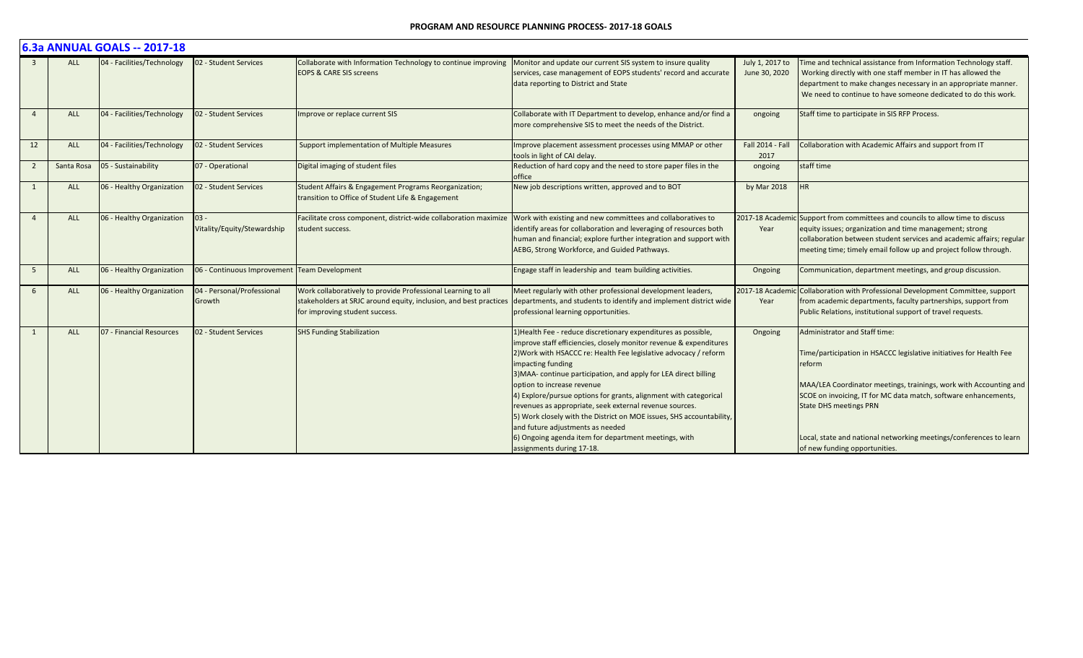|                |            | 6.3a ANNUAL GOALS -- 2017-18 |                                       |                                                                                                                                                                     |                                                                                                                                                                                                                                                                                                                                                                                                                                                                                                                                                                                                                                                                 |                                  |                                                                                                                                                                                                                                                                                                                                                                                                |
|----------------|------------|------------------------------|---------------------------------------|---------------------------------------------------------------------------------------------------------------------------------------------------------------------|-----------------------------------------------------------------------------------------------------------------------------------------------------------------------------------------------------------------------------------------------------------------------------------------------------------------------------------------------------------------------------------------------------------------------------------------------------------------------------------------------------------------------------------------------------------------------------------------------------------------------------------------------------------------|----------------------------------|------------------------------------------------------------------------------------------------------------------------------------------------------------------------------------------------------------------------------------------------------------------------------------------------------------------------------------------------------------------------------------------------|
| $\overline{3}$ | <b>ALL</b> | 04 - Facilities/Technology   | 02 - Student Services                 | Collaborate with Information Technology to continue improving<br><b>EOPS &amp; CARE SIS screens</b>                                                                 | Monitor and update our current SIS system to insure quality<br>services, case management of EOPS students' record and accurate<br>data reporting to District and State                                                                                                                                                                                                                                                                                                                                                                                                                                                                                          | July 1, 2017 to<br>June 30, 2020 | Time and technical assistance from Information Technology staff.<br>Working directly with one staff member in IT has allowed the<br>department to make changes necessary in an appropriate manner.<br>We need to continue to have someone dedicated to do this work.                                                                                                                           |
| $\overline{4}$ | <b>ALL</b> | 04 - Facilities/Technology   | 02 - Student Services                 | Improve or replace current SIS                                                                                                                                      | Collaborate with IT Department to develop, enhance and/or find a<br>more comprehensive SIS to meet the needs of the District.                                                                                                                                                                                                                                                                                                                                                                                                                                                                                                                                   | ongoing                          | Staff time to participate in SIS RFP Process.                                                                                                                                                                                                                                                                                                                                                  |
| 12             | <b>ALL</b> | 04 - Facilities/Technology   | 02 - Student Services                 | Support implementation of Multiple Measures                                                                                                                         | Improve placement assessment processes using MMAP or other<br>tools in light of CAI delay.                                                                                                                                                                                                                                                                                                                                                                                                                                                                                                                                                                      | Fall 2014 - Fall<br>2017         | Collaboration with Academic Affairs and support from IT                                                                                                                                                                                                                                                                                                                                        |
| $\overline{2}$ | Santa Rosa | 05 - Sustainability          | 07 - Operational                      | Digital imaging of student files                                                                                                                                    | Reduction of hard copy and the need to store paper files in the<br>office                                                                                                                                                                                                                                                                                                                                                                                                                                                                                                                                                                                       | ongoing                          | staff time                                                                                                                                                                                                                                                                                                                                                                                     |
| 1              | <b>ALL</b> | 06 - Healthy Organization    | 02 - Student Services                 | Student Affairs & Engagement Programs Reorganization;<br>transition to Office of Student Life & Engagement                                                          | New job descriptions written, approved and to BOT                                                                                                                                                                                                                                                                                                                                                                                                                                                                                                                                                                                                               | by Mar 2018                      | <b>HR</b>                                                                                                                                                                                                                                                                                                                                                                                      |
| $\overline{4}$ | ALL        | 06 - Healthy Organization    | $03 -$<br>Vitality/Equity/Stewardship | Facilitate cross component, district-wide collaboration maximize<br>student success.                                                                                | Work with existing and new committees and collaboratives to<br>identify areas for collaboration and leveraging of resources both<br>human and financial; explore further integration and support with<br>AEBG, Strong Workforce, and Guided Pathways.                                                                                                                                                                                                                                                                                                                                                                                                           | Year                             | 2017-18 Academic Support from committees and councils to allow time to discuss<br>equity issues; organization and time management; strong<br>collaboration between student services and academic affairs; regular<br>meeting time; timely email follow up and project follow through.                                                                                                          |
| 5              | <b>ALL</b> | 06 - Healthy Organization    | 06 - Continuous Improvement           | <b>Team Development</b>                                                                                                                                             | Engage staff in leadership and team building activities.                                                                                                                                                                                                                                                                                                                                                                                                                                                                                                                                                                                                        | Ongoing                          | Communication, department meetings, and group discussion.                                                                                                                                                                                                                                                                                                                                      |
| 6              | <b>ALL</b> | 06 - Healthy Organization    | 04 - Personal/Professional<br>Growth  | Work collaboratively to provide Professional Learning to all<br>stakeholders at SRJC around equity, inclusion, and best practices<br>for improving student success. | Meet regularly with other professional development leaders,<br>departments, and students to identify and implement district wide<br>professional learning opportunities.                                                                                                                                                                                                                                                                                                                                                                                                                                                                                        | 2017-18 Academ<br>Year           | Collaboration with Professional Development Committee, support<br>from academic departments, faculty partnerships, support from<br>Public Relations, institutional support of travel requests.                                                                                                                                                                                                 |
| 1              | <b>ALL</b> | 07 - Financial Resources     | 02 - Student Services                 | <b>SHS Funding Stabilization</b>                                                                                                                                    | 1) Health Fee - reduce discretionary expenditures as possible,<br>improve staff efficiencies, closely monitor revenue & expenditures<br>2) Work with HSACCC re: Health Fee legislative advocacy / reform<br>impacting funding<br>3) MAA- continue participation, and apply for LEA direct billing<br>option to increase revenue<br>4) Explore/pursue options for grants, alignment with categorical<br>revenues as appropriate, seek external revenue sources.<br>5) Work closely with the District on MOE issues, SHS accountability,<br>and future adjustments as needed<br>6) Ongoing agenda item for department meetings, with<br>assignments during 17-18. | Ongoing                          | Administrator and Staff time:<br>Time/participation in HSACCC legislative initiatives for Health Fee<br>reform<br>MAA/LEA Coordinator meetings, trainings, work with Accounting and<br>SCOE on invoicing, IT for MC data match, software enhancements,<br><b>State DHS meetings PRN</b><br>Local, state and national networking meetings/conferences to learn<br>of new funding opportunities. |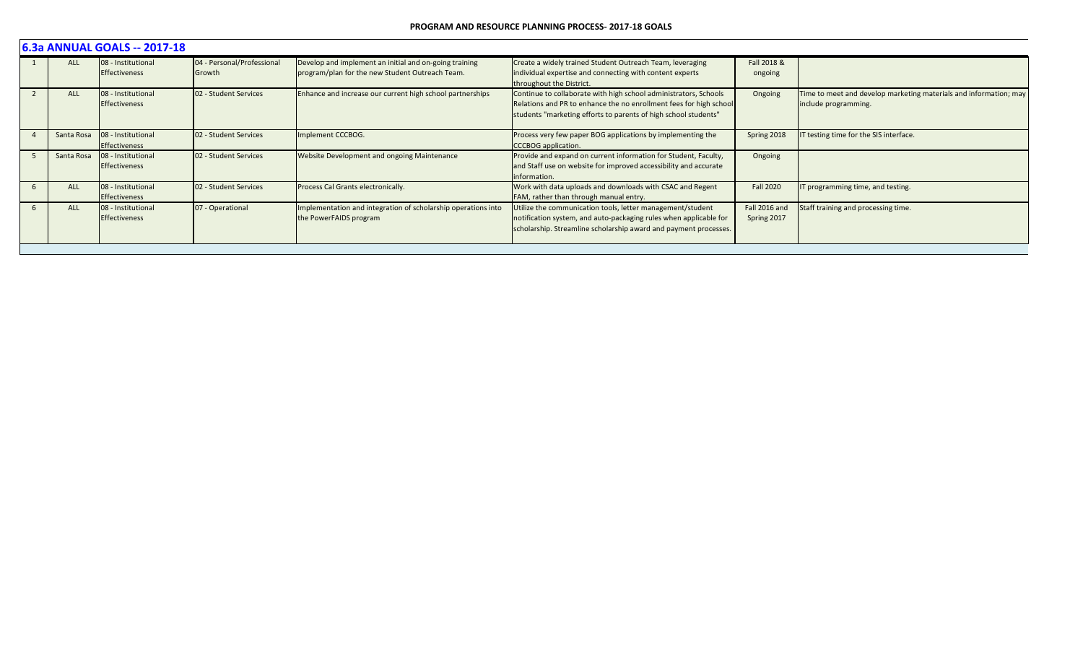|            | 6.3a ANNUAL GOALS -- 2017-18               |                                      |                                                                                                           |                                                                                                                                                                                                           |                              |                                                                                           |  |  |  |  |
|------------|--------------------------------------------|--------------------------------------|-----------------------------------------------------------------------------------------------------------|-----------------------------------------------------------------------------------------------------------------------------------------------------------------------------------------------------------|------------------------------|-------------------------------------------------------------------------------------------|--|--|--|--|
| <b>ALL</b> | 08 - Institutional<br><b>Effectiveness</b> | 04 - Personal/Professional<br>Growth | Develop and implement an initial and on-going training<br>program/plan for the new Student Outreach Team. | Create a widely trained Student Outreach Team, leveraging<br>individual expertise and connecting with content experts<br>throughout the District.                                                         | Fall 2018 &<br>ongoing       |                                                                                           |  |  |  |  |
| <b>ALL</b> | 08 - Institutional<br><b>Effectiveness</b> | 02 - Student Services                | Enhance and increase our current high school partnerships                                                 | Continue to collaborate with high school administrators, Schools<br>Relations and PR to enhance the no enrollment fees for high school<br>students "marketing efforts to parents of high school students" | Ongoing                      | Time to meet and develop marketing materials and information; may<br>include programming. |  |  |  |  |
| Santa Rosa | 08 - Institutional<br>Effectiveness        | 02 - Student Services                | Implement CCCBOG.                                                                                         | Process very few paper BOG applications by implementing the<br>CCCBOG application.                                                                                                                        | Spring 2018                  | T testing time for the SIS interface.                                                     |  |  |  |  |
| Santa Rosa | 08 - Institutional<br><b>Effectiveness</b> | 02 - Student Services                | <b>Website Development and ongoing Maintenance</b>                                                        | Provide and expand on current information for Student, Faculty,<br>and Staff use on website for improved accessibility and accurate<br>information.                                                       | Ongoing                      |                                                                                           |  |  |  |  |
| <b>ALL</b> | 08 - Institutional<br>Effectiveness        | 02 - Student Services                | Process Cal Grants electronically.                                                                        | Work with data uploads and downloads with CSAC and Regent<br>FAM, rather than through manual entry.                                                                                                       | <b>Fall 2020</b>             | T programming time, and testing.                                                          |  |  |  |  |
| <b>ALL</b> | 08 - Institutional<br><b>Effectiveness</b> | 07 - Operational                     | Implementation and integration of scholarship operations into<br>the PowerFAIDS program                   | Utilize the communication tools, letter management/student<br>notification system, and auto-packaging rules when applicable for<br>scholarship. Streamline scholarship award and payment processes.       | Fall 2016 and<br>Spring 2017 | Staff training and processing time.                                                       |  |  |  |  |
|            |                                            |                                      |                                                                                                           |                                                                                                                                                                                                           |                              |                                                                                           |  |  |  |  |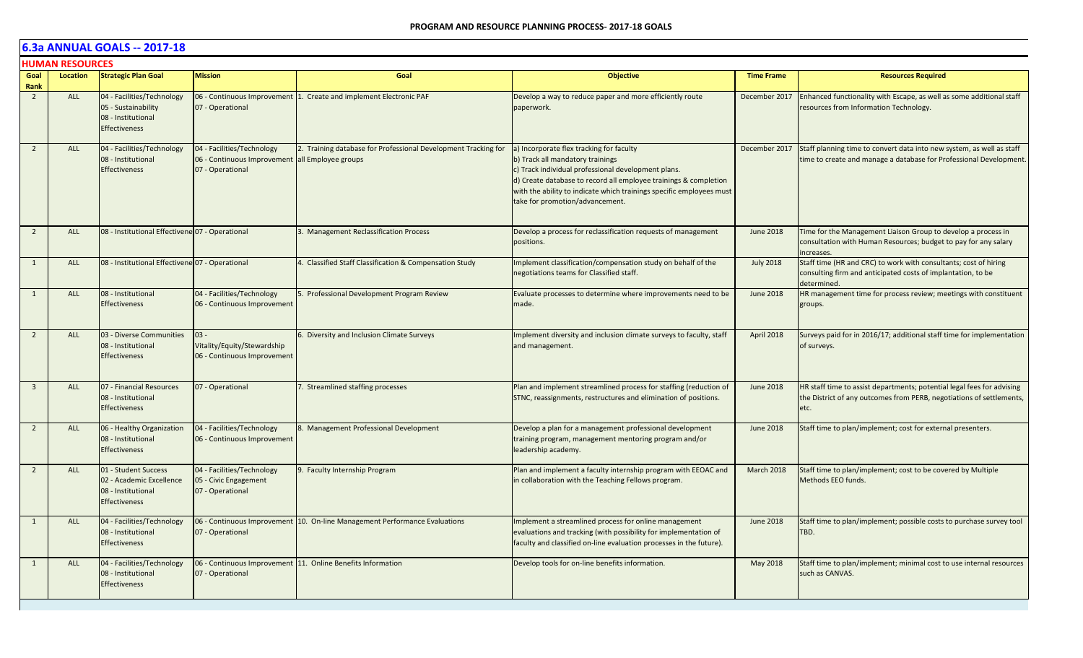|                        | <b>HUMAN RESOURCES</b> |                                                                                                 |                                                                                                   |                                                                            |                                                                                                                                                                                                                                                                                                                    |                   |                                                                                                                                                        |  |  |  |  |
|------------------------|------------------------|-------------------------------------------------------------------------------------------------|---------------------------------------------------------------------------------------------------|----------------------------------------------------------------------------|--------------------------------------------------------------------------------------------------------------------------------------------------------------------------------------------------------------------------------------------------------------------------------------------------------------------|-------------------|--------------------------------------------------------------------------------------------------------------------------------------------------------|--|--|--|--|
| Goal                   | Location               | <b>Strategic Plan Goal</b>                                                                      | <b>Mission</b>                                                                                    | Goal                                                                       | <b>Objective</b>                                                                                                                                                                                                                                                                                                   | <b>Time Frame</b> | <b>Resources Required</b>                                                                                                                              |  |  |  |  |
| Rank<br>$\overline{2}$ | <b>ALL</b>             | 04 - Facilities/Technology<br>05 - Sustainability<br>08 - Institutional<br><b>Effectiveness</b> | 06 - Continuous Improvement<br>07 - Operational                                                   | 1. Create and implement Electronic PAF                                     | Develop a way to reduce paper and more efficiently route<br>paperwork.                                                                                                                                                                                                                                             | December 2017     | Enhanced functionality with Escape, as well as some additional staff<br>resources from Information Technology.                                         |  |  |  |  |
| $\overline{2}$         | <b>ALL</b>             | 04 - Facilities/Technology<br>08 - Institutional<br><b>Effectiveness</b>                        | 04 - Facilities/Technology<br>06 - Continuous Improvement all Employee groups<br>07 - Operational | 2. Training database for Professional Development Tracking for             | a) Incorporate flex tracking for faculty<br>b) Track all mandatory trainings<br>c) Track individual professional development plans.<br>d) Create database to record all employee trainings & completion<br>with the ability to indicate which trainings specific employees must<br>take for promotion/advancement. | December 2017     | Staff planning time to convert data into new system, as well as staff<br>time to create and manage a database for Professional Development.            |  |  |  |  |
| $\overline{2}$         | <b>ALL</b>             | 08 - Institutional Effectivene 07 - Operational                                                 |                                                                                                   | 3. Management Reclassification Process                                     | Develop a process for reclassification requests of management<br>positions.                                                                                                                                                                                                                                        | <b>June 2018</b>  | Time for the Management Liaison Group to develop a process in<br>consultation with Human Resources; budget to pay for any salary<br>increases.         |  |  |  |  |
| 1                      | ALL                    | 08 - Institutional Effectivene 07 - Operational                                                 |                                                                                                   | 4. Classified Staff Classification & Compensation Study                    | Implement classification/compensation study on behalf of the<br>negotiations teams for Classified staff.                                                                                                                                                                                                           | <b>July 2018</b>  | Staff time (HR and CRC) to work with consultants; cost of hiring<br>consulting firm and anticipated costs of implantation, to be<br>determined.        |  |  |  |  |
| 1                      | <b>ALL</b>             | 08 - Institutional<br><b>Effectiveness</b>                                                      | 04 - Facilities/Technology<br>06 - Continuous Improvement                                         | 5. Professional Development Program Review                                 | Evaluate processes to determine where improvements need to be<br>made.                                                                                                                                                                                                                                             | <b>June 2018</b>  | HR management time for process review; meetings with constituent<br>groups.                                                                            |  |  |  |  |
| $\overline{2}$         | <b>ALL</b>             | 03 - Diverse Communities<br>08 - Institutional<br><b>Effectiveness</b>                          | $03 -$<br>Vitality/Equity/Stewardship<br>06 - Continuous Improvement                              | 6. Diversity and Inclusion Climate Surveys                                 | Implement diversity and inclusion climate surveys to faculty, staff<br>and management.                                                                                                                                                                                                                             | April 2018        | Surveys paid for in 2016/17; additional staff time for implementation<br>of surveys.                                                                   |  |  |  |  |
| $\overline{3}$         | ALL                    | 07 - Financial Resources<br>08 - Institutional<br><b>Effectiveness</b>                          | 07 - Operational                                                                                  | 7. Streamlined staffing processes                                          | Plan and implement streamlined process for staffing (reduction of<br>STNC, reassignments, restructures and elimination of positions.                                                                                                                                                                               | <b>June 2018</b>  | HR staff time to assist departments; potential legal fees for advising<br>the District of any outcomes from PERB, negotiations of settlements,<br>etc. |  |  |  |  |
| $\overline{2}$         | ALL                    | 06 - Healthy Organization<br>08 - Institutional<br><b>Effectiveness</b>                         | 04 - Facilities/Technology<br>06 - Continuous Improvement                                         | 8. Management Professional Development                                     | Develop a plan for a management professional development<br>training program, management mentoring program and/or<br>leadership academy.                                                                                                                                                                           | <b>June 2018</b>  | Staff time to plan/implement; cost for external presenters.                                                                                            |  |  |  |  |
| $\overline{2}$         | ALL                    | 01 - Student Success<br>02 - Academic Excellence<br>08 - Institutional<br><b>Effectiveness</b>  | 04 - Facilities/Technology<br>05 - Civic Engagement<br>07 - Operational                           | 9. Faculty Internship Program                                              | Plan and implement a faculty internship program with EEOAC and<br>in collaboration with the Teaching Fellows program.                                                                                                                                                                                              | <b>March 2018</b> | Staff time to plan/implement; cost to be covered by Multiple<br>Methods EEO funds.                                                                     |  |  |  |  |
| 1                      | <b>ALL</b>             | 04 - Facilities/Technology<br>08 - Institutional<br><b>Effectiveness</b>                        | 07 - Operational                                                                                  | 06 - Continuous Improvement 10. On-line Management Performance Evaluations | Implement a streamlined process for online management<br>evaluations and tracking (with possibility for implementation of<br>faculty and classified on-line evaluation processes in the future).                                                                                                                   | June 2018         | Staff time to plan/implement; possible costs to purchase survey tool<br>TBD.                                                                           |  |  |  |  |
| 1                      | <b>ALL</b>             | 04 - Facilities/Technology<br>08 - Institutional<br><b>Effectiveness</b>                        | 07 - Operational                                                                                  | 06 - Continuous Improvement 11. Online Benefits Information                | Develop tools for on-line benefits information.                                                                                                                                                                                                                                                                    | May 2018          | Staff time to plan/implement; minimal cost to use internal resources<br>such as CANVAS.                                                                |  |  |  |  |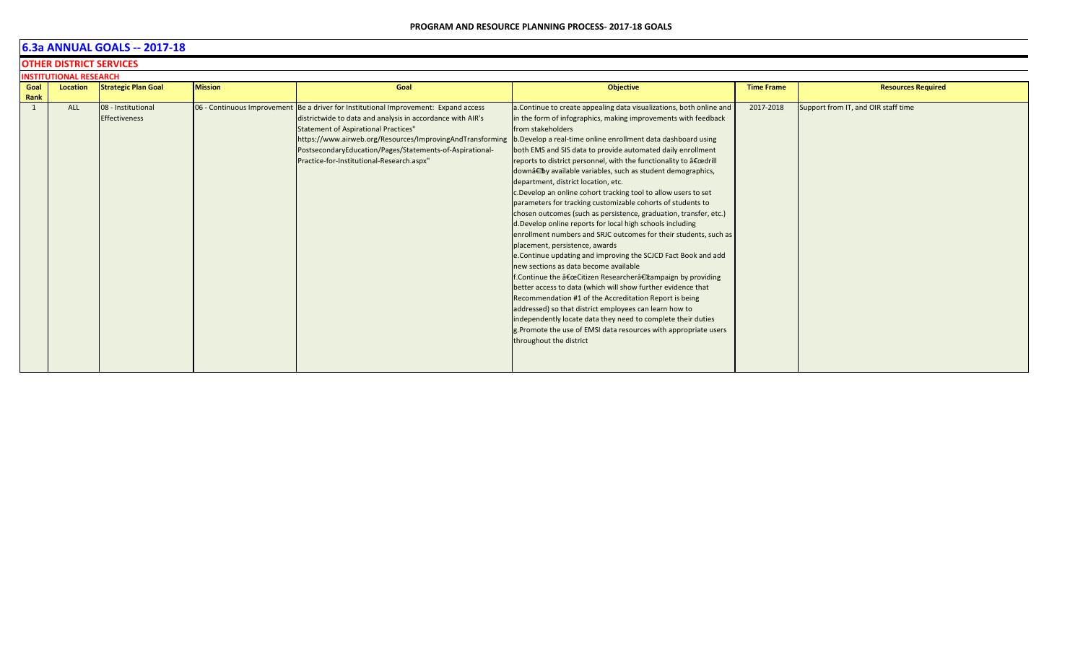**OTHER DISTRICT SERVICES**

| <b>INSTITUTIONAL RESEARCH</b><br>Location |  |                                           |                                                                                                                                                                                                                                                                                                                            |                                                                                                                                                                                                                                                                                                                                                                                                                                                                                                                                                                                                                                                                                                                                                                                                                                                                                                                                                                                                                                                                                                                                                                                                                                                                                                                                                                          |                                     |  |  |  |  |
|-------------------------------------------|--|-------------------------------------------|----------------------------------------------------------------------------------------------------------------------------------------------------------------------------------------------------------------------------------------------------------------------------------------------------------------------------|--------------------------------------------------------------------------------------------------------------------------------------------------------------------------------------------------------------------------------------------------------------------------------------------------------------------------------------------------------------------------------------------------------------------------------------------------------------------------------------------------------------------------------------------------------------------------------------------------------------------------------------------------------------------------------------------------------------------------------------------------------------------------------------------------------------------------------------------------------------------------------------------------------------------------------------------------------------------------------------------------------------------------------------------------------------------------------------------------------------------------------------------------------------------------------------------------------------------------------------------------------------------------------------------------------------------------------------------------------------------------|-------------------------------------|--|--|--|--|
| <b>Strategic Plan Goal</b>                |  | Goal                                      | <b>Objective</b>                                                                                                                                                                                                                                                                                                           | <b>Time Frame</b>                                                                                                                                                                                                                                                                                                                                                                                                                                                                                                                                                                                                                                                                                                                                                                                                                                                                                                                                                                                                                                                                                                                                                                                                                                                                                                                                                        | <b>Resources Required</b>           |  |  |  |  |
|                                           |  |                                           |                                                                                                                                                                                                                                                                                                                            |                                                                                                                                                                                                                                                                                                                                                                                                                                                                                                                                                                                                                                                                                                                                                                                                                                                                                                                                                                                                                                                                                                                                                                                                                                                                                                                                                                          |                                     |  |  |  |  |
| 08 - Institutional                        |  |                                           |                                                                                                                                                                                                                                                                                                                            | 2017-2018                                                                                                                                                                                                                                                                                                                                                                                                                                                                                                                                                                                                                                                                                                                                                                                                                                                                                                                                                                                                                                                                                                                                                                                                                                                                                                                                                                | Support from IT, and OIR staff time |  |  |  |  |
| <b>Effectiveness</b>                      |  |                                           |                                                                                                                                                                                                                                                                                                                            |                                                                                                                                                                                                                                                                                                                                                                                                                                                                                                                                                                                                                                                                                                                                                                                                                                                                                                                                                                                                                                                                                                                                                                                                                                                                                                                                                                          |                                     |  |  |  |  |
|                                           |  |                                           |                                                                                                                                                                                                                                                                                                                            |                                                                                                                                                                                                                                                                                                                                                                                                                                                                                                                                                                                                                                                                                                                                                                                                                                                                                                                                                                                                                                                                                                                                                                                                                                                                                                                                                                          |                                     |  |  |  |  |
|                                           |  |                                           |                                                                                                                                                                                                                                                                                                                            |                                                                                                                                                                                                                                                                                                                                                                                                                                                                                                                                                                                                                                                                                                                                                                                                                                                                                                                                                                                                                                                                                                                                                                                                                                                                                                                                                                          |                                     |  |  |  |  |
|                                           |  |                                           |                                                                                                                                                                                                                                                                                                                            |                                                                                                                                                                                                                                                                                                                                                                                                                                                                                                                                                                                                                                                                                                                                                                                                                                                                                                                                                                                                                                                                                                                                                                                                                                                                                                                                                                          |                                     |  |  |  |  |
|                                           |  | Practice-for-Institutional-Research.aspx" |                                                                                                                                                                                                                                                                                                                            |                                                                                                                                                                                                                                                                                                                                                                                                                                                                                                                                                                                                                                                                                                                                                                                                                                                                                                                                                                                                                                                                                                                                                                                                                                                                                                                                                                          |                                     |  |  |  |  |
|                                           |  |                                           |                                                                                                                                                                                                                                                                                                                            |                                                                                                                                                                                                                                                                                                                                                                                                                                                                                                                                                                                                                                                                                                                                                                                                                                                                                                                                                                                                                                                                                                                                                                                                                                                                                                                                                                          |                                     |  |  |  |  |
|                                           |  |                                           |                                                                                                                                                                                                                                                                                                                            |                                                                                                                                                                                                                                                                                                                                                                                                                                                                                                                                                                                                                                                                                                                                                                                                                                                                                                                                                                                                                                                                                                                                                                                                                                                                                                                                                                          |                                     |  |  |  |  |
|                                           |  |                                           |                                                                                                                                                                                                                                                                                                                            |                                                                                                                                                                                                                                                                                                                                                                                                                                                                                                                                                                                                                                                                                                                                                                                                                                                                                                                                                                                                                                                                                                                                                                                                                                                                                                                                                                          |                                     |  |  |  |  |
|                                           |  |                                           |                                                                                                                                                                                                                                                                                                                            |                                                                                                                                                                                                                                                                                                                                                                                                                                                                                                                                                                                                                                                                                                                                                                                                                                                                                                                                                                                                                                                                                                                                                                                                                                                                                                                                                                          |                                     |  |  |  |  |
|                                           |  |                                           |                                                                                                                                                                                                                                                                                                                            |                                                                                                                                                                                                                                                                                                                                                                                                                                                                                                                                                                                                                                                                                                                                                                                                                                                                                                                                                                                                                                                                                                                                                                                                                                                                                                                                                                          |                                     |  |  |  |  |
|                                           |  |                                           |                                                                                                                                                                                                                                                                                                                            |                                                                                                                                                                                                                                                                                                                                                                                                                                                                                                                                                                                                                                                                                                                                                                                                                                                                                                                                                                                                                                                                                                                                                                                                                                                                                                                                                                          |                                     |  |  |  |  |
|                                           |  |                                           |                                                                                                                                                                                                                                                                                                                            |                                                                                                                                                                                                                                                                                                                                                                                                                                                                                                                                                                                                                                                                                                                                                                                                                                                                                                                                                                                                                                                                                                                                                                                                                                                                                                                                                                          |                                     |  |  |  |  |
|                                           |  |                                           |                                                                                                                                                                                                                                                                                                                            |                                                                                                                                                                                                                                                                                                                                                                                                                                                                                                                                                                                                                                                                                                                                                                                                                                                                                                                                                                                                                                                                                                                                                                                                                                                                                                                                                                          |                                     |  |  |  |  |
|                                           |  |                                           |                                                                                                                                                                                                                                                                                                                            |                                                                                                                                                                                                                                                                                                                                                                                                                                                                                                                                                                                                                                                                                                                                                                                                                                                                                                                                                                                                                                                                                                                                                                                                                                                                                                                                                                          |                                     |  |  |  |  |
|                                           |  |                                           |                                                                                                                                                                                                                                                                                                                            |                                                                                                                                                                                                                                                                                                                                                                                                                                                                                                                                                                                                                                                                                                                                                                                                                                                                                                                                                                                                                                                                                                                                                                                                                                                                                                                                                                          |                                     |  |  |  |  |
|                                           |  |                                           |                                                                                                                                                                                                                                                                                                                            |                                                                                                                                                                                                                                                                                                                                                                                                                                                                                                                                                                                                                                                                                                                                                                                                                                                                                                                                                                                                                                                                                                                                                                                                                                                                                                                                                                          |                                     |  |  |  |  |
|                                           |  |                                           |                                                                                                                                                                                                                                                                                                                            |                                                                                                                                                                                                                                                                                                                                                                                                                                                                                                                                                                                                                                                                                                                                                                                                                                                                                                                                                                                                                                                                                                                                                                                                                                                                                                                                                                          |                                     |  |  |  |  |
|                                           |  |                                           |                                                                                                                                                                                                                                                                                                                            |                                                                                                                                                                                                                                                                                                                                                                                                                                                                                                                                                                                                                                                                                                                                                                                                                                                                                                                                                                                                                                                                                                                                                                                                                                                                                                                                                                          |                                     |  |  |  |  |
|                                           |  |                                           |                                                                                                                                                                                                                                                                                                                            |                                                                                                                                                                                                                                                                                                                                                                                                                                                                                                                                                                                                                                                                                                                                                                                                                                                                                                                                                                                                                                                                                                                                                                                                                                                                                                                                                                          |                                     |  |  |  |  |
|                                           |  |                                           |                                                                                                                                                                                                                                                                                                                            |                                                                                                                                                                                                                                                                                                                                                                                                                                                                                                                                                                                                                                                                                                                                                                                                                                                                                                                                                                                                                                                                                                                                                                                                                                                                                                                                                                          |                                     |  |  |  |  |
|                                           |  |                                           |                                                                                                                                                                                                                                                                                                                            |                                                                                                                                                                                                                                                                                                                                                                                                                                                                                                                                                                                                                                                                                                                                                                                                                                                                                                                                                                                                                                                                                                                                                                                                                                                                                                                                                                          |                                     |  |  |  |  |
|                                           |  |                                           |                                                                                                                                                                                                                                                                                                                            |                                                                                                                                                                                                                                                                                                                                                                                                                                                                                                                                                                                                                                                                                                                                                                                                                                                                                                                                                                                                                                                                                                                                                                                                                                                                                                                                                                          |                                     |  |  |  |  |
|                                           |  |                                           |                                                                                                                                                                                                                                                                                                                            |                                                                                                                                                                                                                                                                                                                                                                                                                                                                                                                                                                                                                                                                                                                                                                                                                                                                                                                                                                                                                                                                                                                                                                                                                                                                                                                                                                          |                                     |  |  |  |  |
|                                           |  |                                           |                                                                                                                                                                                                                                                                                                                            |                                                                                                                                                                                                                                                                                                                                                                                                                                                                                                                                                                                                                                                                                                                                                                                                                                                                                                                                                                                                                                                                                                                                                                                                                                                                                                                                                                          |                                     |  |  |  |  |
|                                           |  | <b>Mission</b>                            | 06 - Continuous Improvement Be a driver for Institutional Improvement: Expand access<br>districtwide to data and analysis in accordance with AIR's<br><b>Statement of Aspirational Practices"</b><br>https://www.airweb.org/Resources/ImprovingAndTransforming<br>PostsecondaryEducation/Pages/Statements-of-Aspirational- | a. Continue to create appealing data visualizations, both online and<br>in the form of infographics, making improvements with feedback<br>from stakeholders<br>b. Develop a real-time online enrollment data dashboard using<br>both EMS and SIS data to provide automated daily enrollment<br>reports to district personnel, with the functionality to "drill<br>down†by available variables, such as student demographics,<br>department, district location, etc.<br>c.Develop an online cohort tracking tool to allow users to set<br>parameters for tracking customizable cohorts of students to<br>chosen outcomes (such as persistence, graduation, transfer, etc.)<br>d. Develop online reports for local high schools including<br>enrollment numbers and SRJC outcomes for their students, such as<br>placement, persistence, awards<br>e. Continue updating and improving the SCJCD Fact Book and add<br>new sections as data become available<br>f. Continue the "Citizen Researcher†tampaign by providing<br>better access to data (which will show further evidence that<br>Recommendation #1 of the Accreditation Report is being<br>addressed) so that district employees can learn how to<br>independently locate data they need to complete their duties<br>g. Promote the use of EMSI data resources with appropriate users<br>throughout the district |                                     |  |  |  |  |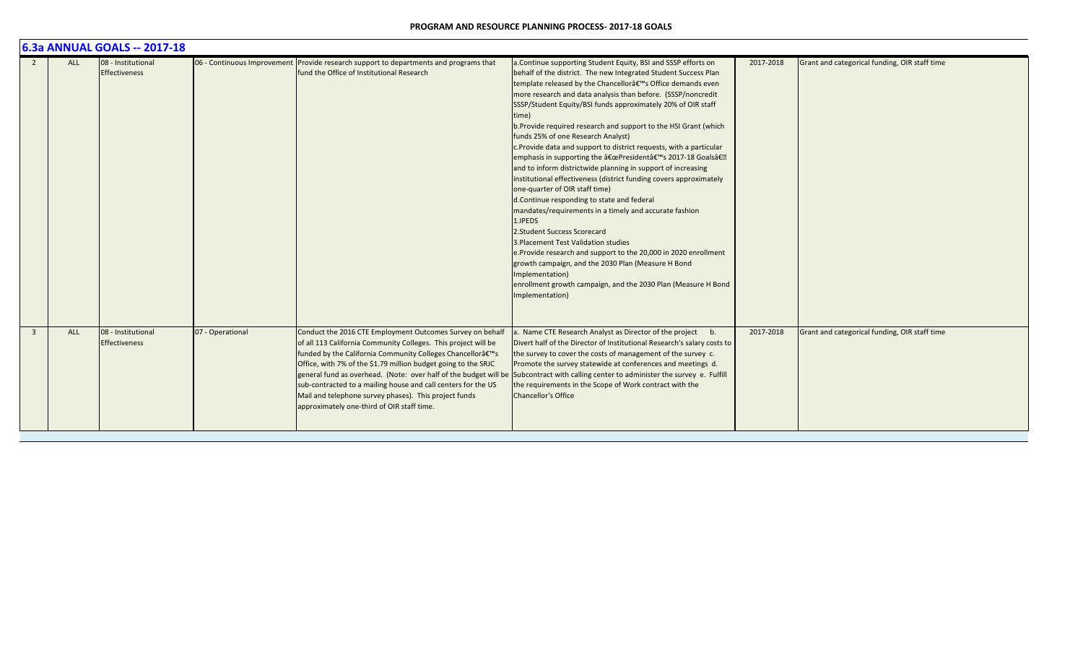|                         | 6.3a ANNUAL GOALS -- 2017-18 |                                            |                  |                                                                                                                                                                                                                                                                                                                                                                                                                                   |                                                                                                                                                                                                                                                                                                                                                                                                                                                                                                                                                                                                                                                                                                                                                                                                                                                                                                                                                                                                                                                                                                                                                                                        |           |                                               |  |  |  |
|-------------------------|------------------------------|--------------------------------------------|------------------|-----------------------------------------------------------------------------------------------------------------------------------------------------------------------------------------------------------------------------------------------------------------------------------------------------------------------------------------------------------------------------------------------------------------------------------|----------------------------------------------------------------------------------------------------------------------------------------------------------------------------------------------------------------------------------------------------------------------------------------------------------------------------------------------------------------------------------------------------------------------------------------------------------------------------------------------------------------------------------------------------------------------------------------------------------------------------------------------------------------------------------------------------------------------------------------------------------------------------------------------------------------------------------------------------------------------------------------------------------------------------------------------------------------------------------------------------------------------------------------------------------------------------------------------------------------------------------------------------------------------------------------|-----------|-----------------------------------------------|--|--|--|
| $\overline{2}$          | <b>ALL</b>                   | 08 - Institutional<br>Effectiveness        |                  | 06 - Continuous Improvement Provide research support to departments and programs that<br>fund the Office of Institutional Research                                                                                                                                                                                                                                                                                                | a. Continue supporting Student Equity, BSI and SSSP efforts on<br>behalf of the district. The new Integrated Student Success Plan<br>template released by the Chancellor's Office demands even<br>more research and data analysis than before. (SSSP/noncredit<br>SSSP/Student Equity/BSI funds approximately 20% of OIR staff<br>time)<br>b. Provide required research and support to the HSI Grant (which<br>funds 25% of one Research Analyst)<br>c. Provide data and support to district requests, with a particular<br>emphasis in supporting the "President's 2017-18 Goals�<br>and to inform districtwide planning in support of increasing<br>institutional effectiveness (district funding covers approximately<br>one-quarter of OIR staff time)<br>d. Continue responding to state and federal<br>mandates/requirements in a timely and accurate fashion<br>1.IPEDS<br>2. Student Success Scorecard<br>3. Placement Test Validation studies<br>e.Provide research and support to the 20,000 in 2020 enrollment<br>growth campaign, and the 2030 Plan (Measure H Bond<br>Implementation)<br>enrollment growth campaign, and the 2030 Plan (Measure H Bond<br>Implementation) | 2017-2018 | Grant and categorical funding, OIR staff time |  |  |  |
| $\overline{\mathbf{3}}$ | <b>ALL</b>                   | 08 - Institutional<br><b>Effectiveness</b> | 07 - Operational | Conduct the 2016 CTE Employment Outcomes Survey on behalf<br>of all 113 California Community Colleges. This project will be<br>funded by the California Community Colleges Chancellor's<br>Office, with 7% of the \$1.79 million budget going to the SRJC<br>sub-contracted to a mailing house and call centers for the US<br>Mail and telephone survey phases). This project funds<br>approximately one-third of OIR staff time. | a. Name CTE Research Analyst as Director of the project b.<br>Divert half of the Director of Institutional Research's salary costs to<br>the survey to cover the costs of management of the survey c.<br>Promote the survey statewide at conferences and meetings d.<br>general fund as overhead. (Note: over half of the budget will be Subcontract with calling center to administer the survey e. Fulfill<br>the requirements in the Scope of Work contract with the<br><b>Chancellor's Office</b>                                                                                                                                                                                                                                                                                                                                                                                                                                                                                                                                                                                                                                                                                  | 2017-2018 | Grant and categorical funding, OIR staff time |  |  |  |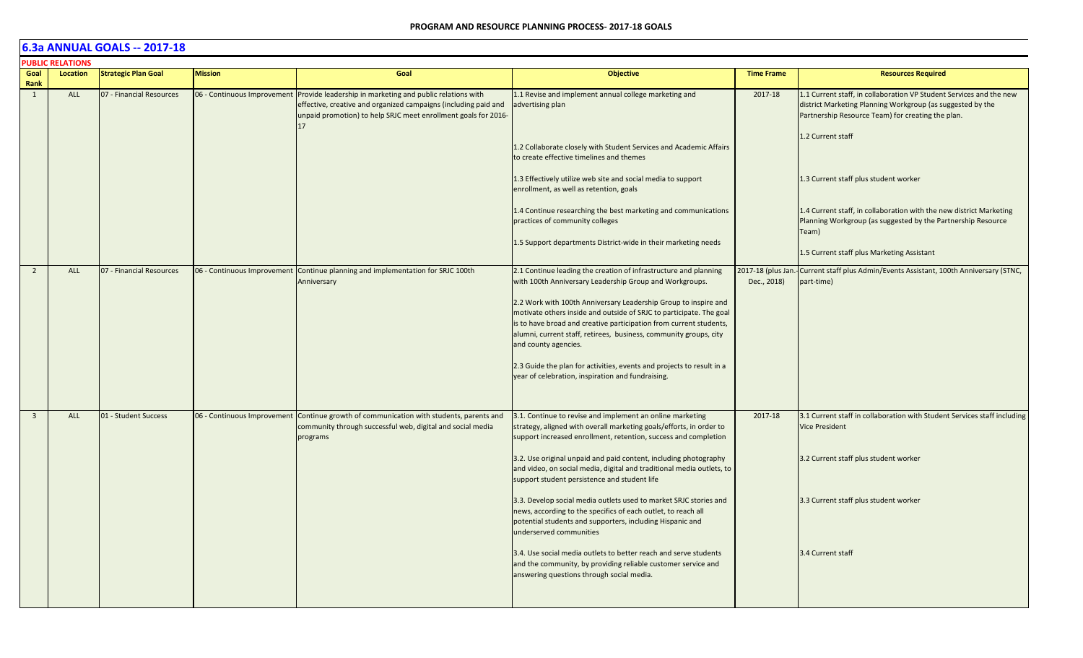|                         | <b>PUBLIC RELATIONS</b> |                            |                             |                                                                                                                                                                                                      |                                                                                                                                                                                                                            |                                  |                                                                                                                                                                                        |
|-------------------------|-------------------------|----------------------------|-----------------------------|------------------------------------------------------------------------------------------------------------------------------------------------------------------------------------------------------|----------------------------------------------------------------------------------------------------------------------------------------------------------------------------------------------------------------------------|----------------------------------|----------------------------------------------------------------------------------------------------------------------------------------------------------------------------------------|
| Goal<br>Rank            | Location                | <b>Strategic Plan Goal</b> | <b>Mission</b>              | Goal                                                                                                                                                                                                 | <b>Objective</b>                                                                                                                                                                                                           | <b>Time Frame</b>                | <b>Resources Required</b>                                                                                                                                                              |
| 1                       | ALL                     | 07 - Financial Resources   | 06 - Continuous Improvement | Provide leadership in marketing and public relations with<br>effective, creative and organized campaigns (including paid and<br>unpaid promotion) to help SRJC meet enrollment goals for 2016-<br>17 | 1.1 Revise and implement annual college marketing and<br>advertising plan                                                                                                                                                  | 2017-18                          | 1.1 Current staff, in collaboration VP Student Services and the new<br>district Marketing Planning Workgroup (as suggested by the<br>Partnership Resource Team) for creating the plan. |
|                         |                         |                            |                             |                                                                                                                                                                                                      | 1.2 Collaborate closely with Student Services and Academic Affairs<br>to create effective timelines and themes                                                                                                             |                                  | 1.2 Current staff                                                                                                                                                                      |
|                         |                         |                            |                             |                                                                                                                                                                                                      | 1.3 Effectively utilize web site and social media to support<br>enrollment, as well as retention, goals                                                                                                                    |                                  | 1.3 Current staff plus student worker                                                                                                                                                  |
|                         |                         |                            |                             |                                                                                                                                                                                                      | 1.4 Continue researching the best marketing and communications<br>practices of community colleges                                                                                                                          |                                  | 1.4 Current staff, in collaboration with the new district Marketing<br>Planning Workgroup (as suggested by the Partnership Resource<br>Team)                                           |
|                         |                         |                            |                             |                                                                                                                                                                                                      | 1.5 Support departments District-wide in their marketing needs                                                                                                                                                             |                                  | 1.5 Current staff plus Marketing Assistant                                                                                                                                             |
| $\overline{2}$          | ALL                     | 07 - Financial Resources   |                             | 06 - Continuous Improvement Continue planning and implementation for SRJC 100th<br>Anniversary                                                                                                       | 2.1 Continue leading the creation of infrastructure and planning<br>with 100th Anniversary Leadership Group and Workgroups.                                                                                                | 2017-18 (plus Jan<br>Dec., 2018) | -Current staff plus Admin/Events Assistant, 100th Anniversary (STNC,<br>part-time)                                                                                                     |
|                         |                         |                            |                             |                                                                                                                                                                                                      | 2.2 Work with 100th Anniversary Leadership Group to inspire and<br>motivate others inside and outside of SRJC to participate. The goal                                                                                     |                                  |                                                                                                                                                                                        |
|                         |                         |                            |                             |                                                                                                                                                                                                      | is to have broad and creative participation from current students,                                                                                                                                                         |                                  |                                                                                                                                                                                        |
|                         |                         |                            |                             |                                                                                                                                                                                                      | alumni, current staff, retirees, business, community groups, city<br>and county agencies.                                                                                                                                  |                                  |                                                                                                                                                                                        |
|                         |                         |                            |                             |                                                                                                                                                                                                      | 2.3 Guide the plan for activities, events and projects to result in a<br>year of celebration, inspiration and fundraising.                                                                                                 |                                  |                                                                                                                                                                                        |
| $\overline{\mathbf{3}}$ | ALL                     | 01 - Student Success       | 06 - Continuous Improvement | Continue growth of communication with students, parents and<br>community through successful web, digital and social media<br>programs                                                                | 3.1. Continue to revise and implement an online marketing<br>strategy, aligned with overall marketing goals/efforts, in order to<br>support increased enrollment, retention, success and completion                        | 2017-18                          | 3.1 Current staff in collaboration with Student Services staff including<br><b>Vice President</b>                                                                                      |
|                         |                         |                            |                             |                                                                                                                                                                                                      | 3.2. Use original unpaid and paid content, including photography<br>and video, on social media, digital and traditional media outlets, to<br>support student persistence and student life                                  |                                  | 3.2 Current staff plus student worker                                                                                                                                                  |
|                         |                         |                            |                             |                                                                                                                                                                                                      | 3.3. Develop social media outlets used to market SRJC stories and<br>news, according to the specifics of each outlet, to reach all<br>potential students and supporters, including Hispanic and<br>underserved communities |                                  | 3.3 Current staff plus student worker                                                                                                                                                  |
|                         |                         |                            |                             |                                                                                                                                                                                                      | 3.4. Use social media outlets to better reach and serve students<br>and the community, by providing reliable customer service and<br>answering questions through social media.                                             |                                  | 3.4 Current staff                                                                                                                                                                      |
|                         |                         |                            |                             |                                                                                                                                                                                                      |                                                                                                                                                                                                                            |                                  |                                                                                                                                                                                        |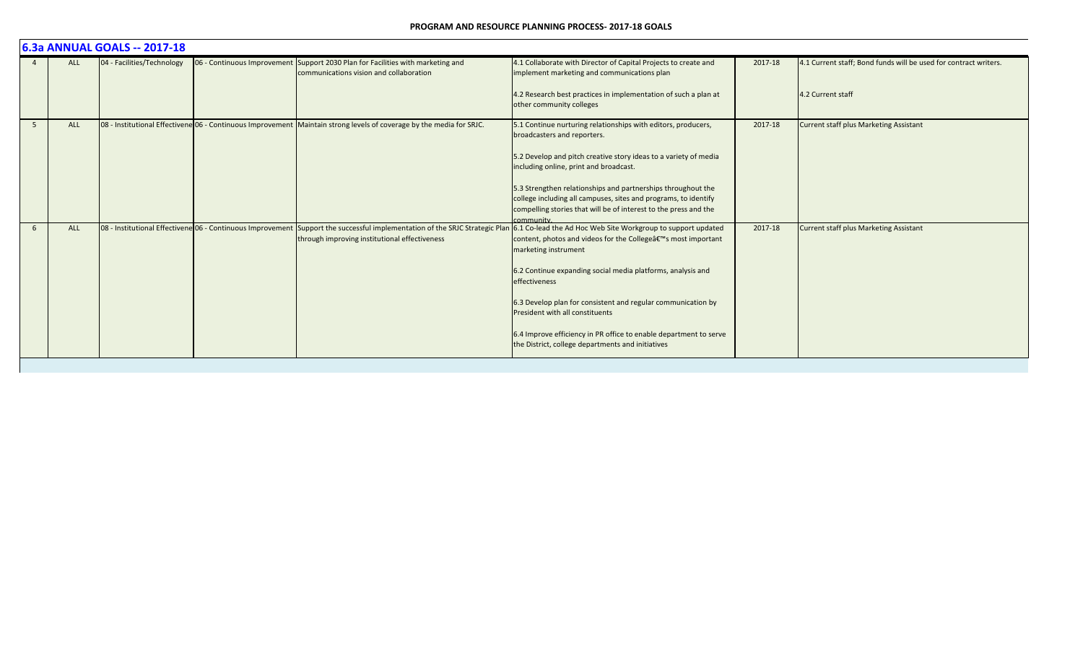|    | 6.3a ANNUAL GOALS -- 2017-18 |                            |                                                            |                                                                                                                            |                                                                                                                                                                                                                      |         |                                                                  |  |  |  |
|----|------------------------------|----------------------------|------------------------------------------------------------|----------------------------------------------------------------------------------------------------------------------------|----------------------------------------------------------------------------------------------------------------------------------------------------------------------------------------------------------------------|---------|------------------------------------------------------------------|--|--|--|
|    | <b>ALL</b>                   | 04 - Facilities/Technology |                                                            | 06 - Continuous Improvement Support 2030 Plan for Facilities with marketing and<br>communications vision and collaboration | 4.1 Collaborate with Director of Capital Projects to create and<br>implement marketing and communications plan                                                                                                       | 2017-18 | 4.1 Current staff; Bond funds will be used for contract writers. |  |  |  |
|    |                              |                            |                                                            |                                                                                                                            | 4.2 Research best practices in implementation of such a plan at<br>other community colleges                                                                                                                          |         | 4.2 Current staff                                                |  |  |  |
| -5 | <b>ALL</b>                   |                            |                                                            | 08 - Institutional Effectivene 06 - Continuous Improvement Maintain strong levels of coverage by the media for SRJC.       | 5.1 Continue nurturing relationships with editors, producers,<br>broadcasters and reporters.                                                                                                                         | 2017-18 | <b>Current staff plus Marketing Assistant</b>                    |  |  |  |
|    |                              |                            |                                                            |                                                                                                                            | 5.2 Develop and pitch creative story ideas to a variety of media<br>including online, print and broadcast.                                                                                                           |         |                                                                  |  |  |  |
|    |                              |                            |                                                            |                                                                                                                            | 5.3 Strengthen relationships and partnerships throughout the<br>college including all campuses, sites and programs, to identify                                                                                      |         |                                                                  |  |  |  |
|    |                              |                            |                                                            |                                                                                                                            | compelling stories that will be of interest to the press and the<br>community.                                                                                                                                       |         |                                                                  |  |  |  |
| 6  | <b>ALL</b>                   |                            | 08 - Institutional Effectivene 06 - Continuous Improvement | through improving institutional effectiveness                                                                              | Support the successful implementation of the SRJC Strategic Plan 6.1 Co-lead the Ad Hoc Web Site Workgroup to support updated<br>content, photos and videos for the College's most important<br>marketing instrument | 2017-18 | <b>Current staff plus Marketing Assistant</b>                    |  |  |  |
|    |                              |                            |                                                            |                                                                                                                            | 6.2 Continue expanding social media platforms, analysis and<br>effectiveness                                                                                                                                         |         |                                                                  |  |  |  |
|    |                              |                            |                                                            |                                                                                                                            | 6.3 Develop plan for consistent and regular communication by<br>President with all constituents                                                                                                                      |         |                                                                  |  |  |  |
|    |                              |                            |                                                            |                                                                                                                            | 6.4 Improve efficiency in PR office to enable department to serve<br>the District, college departments and initiatives                                                                                               |         |                                                                  |  |  |  |